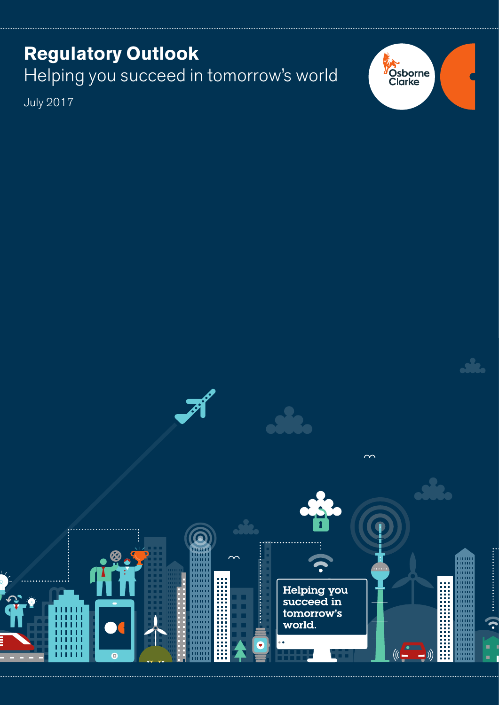# **Regulatory Outlook** Helping you succeed in tomorrow's world

July 2017



Helping you<br>succeed in tomorrow's world. G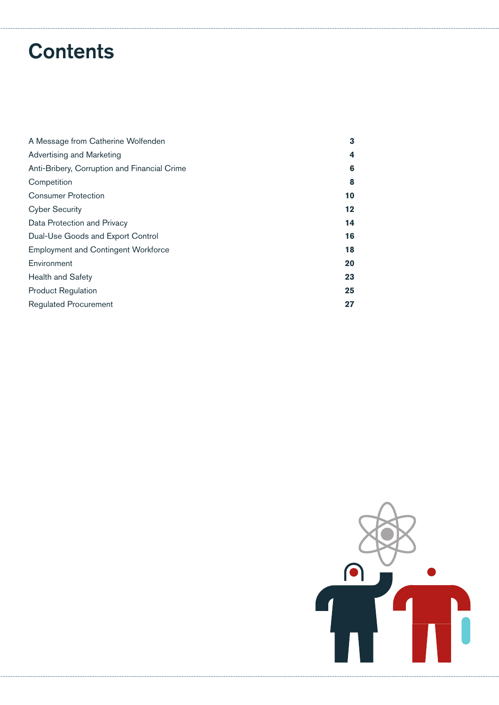# **Contents**

| A Message from Catherine Wolfenden           | 3  |
|----------------------------------------------|----|
| Advertising and Marketing                    | 4  |
| Anti-Bribery, Corruption and Financial Crime | 6  |
| Competition                                  | 8  |
| <b>Consumer Protection</b>                   | 10 |
| <b>Cyber Security</b>                        | 12 |
| Data Protection and Privacy                  | 14 |
| Dual-Use Goods and Export Control            | 16 |
| <b>Employment and Contingent Workforce</b>   | 18 |
| Environment                                  | 20 |
| <b>Health and Safety</b>                     | 23 |
| <b>Product Regulation</b>                    | 25 |
| <b>Regulated Procurement</b>                 | 27 |

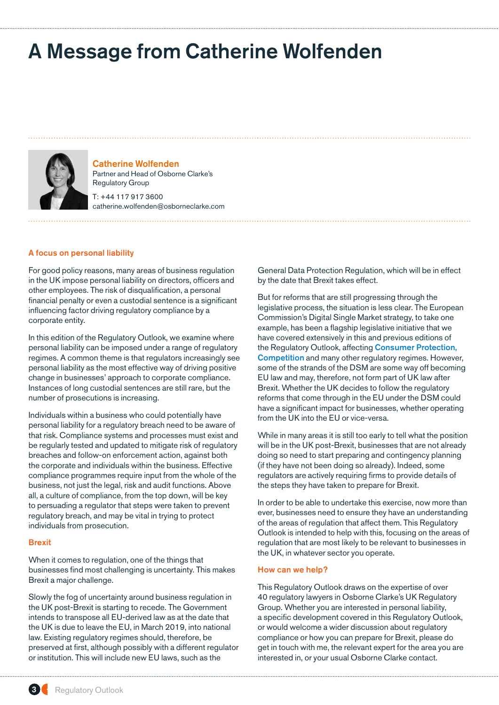# <span id="page-2-0"></span>A Message from Catherine Wolfenden



Catherine Wolfenden Partner and Head of Osborne Clarke's Regulatory Group T: +44 117 917 3600

catherine.wolfenden@osborneclarke.com

## A focus on personal liability

For good policy reasons, many areas of business regulation in the UK impose personal liability on directors, officers and other employees. The risk of disqualification, a personal financial penalty or even a custodial sentence is a significant influencing factor driving regulatory compliance by a corporate entity.

In this edition of the Regulatory Outlook, we examine where personal liability can be imposed under a range of regulatory regimes. A common theme is that regulators increasingly see personal liability as the most effective way of driving positive change in businesses' approach to corporate compliance. Instances of long custodial sentences are still rare, but the number of prosecutions is increasing.

Individuals within a business who could potentially have personal liability for a regulatory breach need to be aware of that risk. Compliance systems and processes must exist and be regularly tested and updated to mitigate risk of regulatory breaches and follow-on enforcement action, against both the corporate and individuals within the business. Effective compliance programmes require input from the whole of the business, not just the legal, risk and audit functions. Above all, a culture of compliance, from the top down, will be key to persuading a regulator that steps were taken to prevent regulatory breach, and may be vital in trying to protect individuals from prosecution.

#### Brexit

When it comes to regulation, one of the things that businesses find most challenging is uncertainty. This makes Brexit a major challenge.

Slowly the fog of uncertainty around business regulation in the UK post-Brexit is starting to recede. The Government intends to transpose all EU-derived law as at the date that the UK is due to leave the EU, in March 2019, into national law. Existing regulatory regimes should, therefore, be preserved at first, although possibly with a different regulator or institution. This will include new EU laws, such as the

General Data Protection Regulation, which will be in effect by the date that Brexit takes effect.

But for reforms that are still progressing through the legislative process, the situation is less clear. The European Commission's Digital Single Market strategy, to take one example, has been a flagship legislative initiative that we have covered extensively in this and previous editions of the Regulatory Outlook, affecting **[Consumer Protection](#page-9-0).** [Competition](#page-7-0) and many other regulatory regimes. However, some of the strands of the DSM are some way off becoming EU law and may, therefore, not form part of UK law after Brexit. Whether the UK decides to follow the regulatory reforms that come through in the EU under the DSM could have a significant impact for businesses, whether operating from the UK into the EU or vice-versa.

While in many areas it is still too early to tell what the position will be in the UK post-Brexit, businesses that are not already doing so need to start preparing and contingency planning (if they have not been doing so already). Indeed, some regulators are actively requiring firms to provide details of the steps they have taken to prepare for Brexit.

In order to be able to undertake this exercise, now more than ever, businesses need to ensure they have an understanding of the areas of regulation that affect them. This Regulatory Outlook is intended to help with this, focusing on the areas of regulation that are most likely to be relevant to businesses in the UK, in whatever sector you operate.

#### How can we help?

This Regulatory Outlook draws on the expertise of over 40 regulatory lawyers in Osborne Clarke's UK Regulatory Group. Whether you are interested in personal liability, a specific development covered in this Regulatory Outlook, or would welcome a wider discussion about regulatory compliance or how you can prepare for Brexit, please do get in touch with me, the relevant expert for the area you are interested in, or your usual Osborne Clarke contact.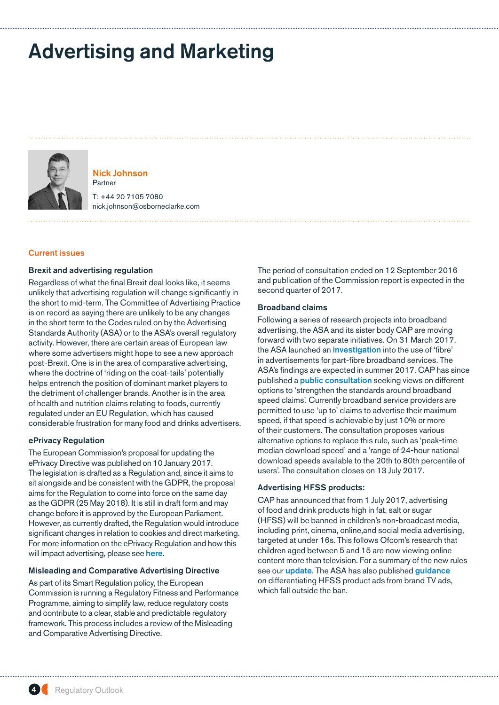# <span id="page-3-0"></span>Advertising and Marketing



Nick Johnson Partner

T: +44 20 7105 7080 nick.johnson@osborneclarke.com

## Current issues

## Brexit and advertising regulation

Regardless of what the final Brexit deal looks like, it seems unlikely that advertising regulation will change significantly in the short to mid-term. The Committee of Advertising Practice is on record as saying there are unlikely to be any changes in the short term to the Codes ruled on by the Advertising Standards Authority (ASA) or to the ASA's overall regulatory activity. However, there are certain areas of European law where some advertisers might hope to see a new approach post-Brexit. One is in the area of comparative advertising, where the doctrine of 'riding on the coat-tails' potentially helps entrench the position of dominant market players to the detriment of challenger brands. Another is in the area of health and nutrition claims relating to foods, currently regulated under an EU Regulation, which has caused considerable frustration for many food and drinks advertisers.

#### ePrivacy Regulation

The European Commission's proposal for updating the ePrivacy Directive was published on 10 January 2017. The legislation is drafted as a Regulation and, since it aims to sit alongside and be consistent with the GDPR, the proposal aims for the Regulation to come into force on the same day as the GDPR (25 May 2018). It is still in draft form and may change before it is approved by the European Parliament. However, as currently drafted, the Regulation would introduce significant changes in relation to cookies and direct marketing. For more information on the ePrivacy Regulation and how this will impact advertising, please see [here](http://marketinglaw.osborneclarke.com/advertising-regulation/will-draft-eprivacy-regulation-impact-advertising/).

#### Misleading and Comparative Advertising Directive

As part of its Smart Regulation policy, the European Commission is running a Regulatory Fitness and Performance Programme, aiming to simplify law, reduce regulatory costs and contribute to a clear, stable and predictable regulatory framework. This process includes a review of the Misleading and Comparative Advertising Directive.

The period of consultation ended on 12 September 2016 and publication of the Commission report is expected in the second quarter of 2017.

#### Broadband claims

Following a series of research projects into broadband advertising, the ASA and its sister body CAP are moving forward with two separate initiatives. On 31 March 2017, the ASA launched an [investigation](http://marketinglaw.osborneclarke.com/advertising-regulation/asas-investigation-into-broadband-providers-use-of-fibre-in-advertising/) into the use of 'fibre' in advertisements for part-fibre broadband services. The ASA's findings are expected in summer 2017. CAP has since published a **[public consultation](https://www.asa.org.uk/resource/consultation-on-speed-claims-in-broadband-advertising.html)** seeking views on different options to 'strengthen the standards around broadband speed claims'. Currently broadband service providers are permitted to use 'up to' claims to advertise their maximum speed, if that speed is achievable by just 10% or more of their customers. The consultation proposes various alternative options to replace this rule, such as 'peak-time median download speed' and a 'range of 24-hour national download speeds available to the 20th to 80th percentile of users'. The consultation closes on 13 July 2017.

## Advertising HFSS products:

CAP has announced that from 1 July 2017, advertising of food and drink products high in fat, salt or sugar (HFSS) will be banned in children's non-broadcast media, including print, cinema, online,and social media advertising, targeted at under 16s. This follows Ofcom's research that children aged between 5 and 15 are now viewing online content more than television. For a summary of the new rules see our **[update](http://marketinglaw.osborneclarke.com/advertising-regulation/cap-cracks-hfss-food-drink-ads/)**. The ASA has also published [guidance](https://www.asa.org.uk/resource/hfss-product-ads-and-brand-tv-ads-differentiation.html) on differentiating HFSS product ads from brand TV ads, which fall outside the ban.

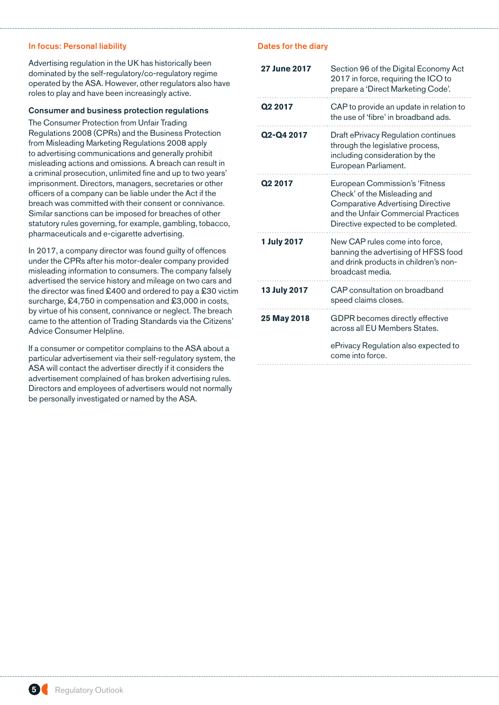## In focus: Personal liability

Advertising regulation in the UK has historically been dominated by the self-regulatory/co-regulatory regime operated by the ASA. However, other regulators also have roles to play and have been increasingly active.

## Consumer and business protection regulations

The Consumer Protection from Unfair Trading Regulations 2008 (CPRs) and the Business Protection from Misleading Marketing Regulations 2008 apply to advertising communications and generally prohibit misleading actions and omissions. A breach can result in a criminal prosecution, unlimited fine and up to two years' imprisonment. Directors, managers, secretaries or other officers of a company can be liable under the Act if the breach was committed with their consent or connivance. Similar sanctions can be imposed for breaches of other statutory rules governing, for example, gambling, tobacco, pharmaceuticals and e-cigarette advertising.

In 2017, a company director was found guilty of offences under the CPRs after his motor-dealer company provided misleading information to consumers. The company falsely advertised the service history and mileage on two cars and the director was fined £400 and ordered to pay a £30 victim surcharge, £4,750 in compensation and £3,000 in costs, by virtue of his consent, connivance or neglect. The breach came to the attention of Trading Standards via the Citizens' Advice Consumer Helpline.

If a consumer or competitor complains to the ASA about a particular advertisement via their self-regulatory system, the ASA will contact the advertiser directly if it considers the advertisement complained of has broken advertising rules. Directors and employees of advertisers would not normally be personally investigated or named by the ASA.

| <b>27 June 2017</b>                 | Section 96 of the Digital Economy Act<br>2017 in force, requiring the ICO to<br>prepare a 'Direct Marketing Code'.                                                                       |
|-------------------------------------|------------------------------------------------------------------------------------------------------------------------------------------------------------------------------------------|
| Q <sub>2</sub> 2017                 | CAP to provide an update in relation to<br>the use of 'fibre' in broadband ads.                                                                                                          |
| Q <sub>2</sub> -Q <sub>4</sub> 2017 | Draft ePrivacy Regulation continues<br>through the legislative process,<br>including consideration by the<br>European Parliament.                                                        |
| Q <sub>2</sub> 2017                 | European Commission's 'Fitness<br>Check' of the Misleading and<br><b>Comparative Advertising Directive</b><br>and the Unfair Commercial Practices<br>Directive expected to be completed. |
| <b>1 July 2017</b>                  | New CAP rules come into force,<br>banning the advertising of HFSS food<br>and drink products in children's non-<br>broadcast media.                                                      |
| <b>13 July 2017</b>                 | CAP consultation on broadband<br>speed claims closes.                                                                                                                                    |
| 25 May 2018                         | GDPR becomes directly effective<br>across all EU Members States.                                                                                                                         |
|                                     | ePrivacy Regulation also expected to<br>come into force.                                                                                                                                 |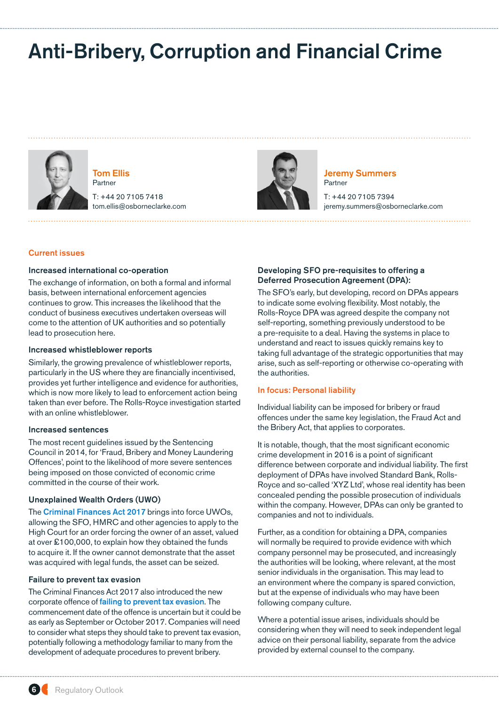# <span id="page-5-0"></span>Anti-Bribery, Corruption and Financial Crime



Tom Ellis Partner

T: +44 20 7105 7418 tom.ellis@osborneclarke.com



Jeremy Summers Partner

T: +44 20 7105 7394 jeremy.summers@osborneclarke.com

## Current issues

## Increased international co-operation

The exchange of information, on both a formal and informal basis, between international enforcement agencies continues to grow. This increases the likelihood that the conduct of business executives undertaken overseas will come to the attention of UK authorities and so potentially lead to prosecution here.

#### Increased whistleblower reports

Similarly, the growing prevalence of whistleblower reports, particularly in the US where they are financially incentivised, provides yet further intelligence and evidence for authorities, which is now more likely to lead to enforcement action being taken than ever before. The Rolls-Royce investigation started with an online whistleblower.

#### Increased sentences

The most recent guidelines issued by the Sentencing Council in 2014, for 'Fraud, Bribery and Money Laundering Offences', point to the likelihood of more severe sentences being imposed on those convicted of economic crime committed in the course of their work.

## Unexplained Wealth Orders (UWO)

The [Criminal Finances Act 2017](http://www.osborneclarke.com/insights/criminal-finances-bill-2017-passes-through-parliament/) brings into force UWOs, allowing the SFO, HMRC and other agencies to apply to the High Court for an order forcing the owner of an asset, valued at over £100,000, to explain how they obtained the funds to acquire it. If the owner cannot demonstrate that the asset was acquired with legal funds, the asset can be seized.

#### Failure to prevent tax evasion

The Criminal Finances Act 2017 also introduced the new corporate offence of [failing to prevent tax evasion](http://www.osborneclarke.com/insights/failure-to-prevent-tax-evasion-are-you-prepared-for-the-new-corporate-offence/). The commencement date of the offence is uncertain but it could be as early as September or October 2017. Companies will need to consider what steps they should take to prevent tax evasion, potentially following a methodology familiar to many from the development of adequate procedures to prevent bribery.

## Developing SFO pre-requisites to offering a Deferred Prosecution Agreement (DPA):

The SFO's early, but developing, record on DPAs appears to indicate some evolving flexibility. Most notably, the Rolls-Royce DPA was agreed despite the company not self-reporting, something previously understood to be a pre-requisite to a deal. Having the systems in place to understand and react to issues quickly remains key to taking full advantage of the strategic opportunities that may arise, such as self-reporting or otherwise co-operating with the authorities.

## In focus: Personal liability

Individual liability can be imposed for bribery or fraud offences under the same key legislation, the Fraud Act and the Bribery Act, that applies to corporates.

It is notable, though, that the most significant economic crime development in 2016 is a point of significant difference between corporate and individual liability. The first deployment of DPAs have involved Standard Bank, Rolls-Royce and so-called 'XYZ Ltd', whose real identity has been concealed pending the possible prosecution of individuals within the company. However, DPAs can only be granted to companies and not to individuals.

Further, as a condition for obtaining a DPA, companies will normally be required to provide evidence with which company personnel may be prosecuted, and increasingly the authorities will be looking, where relevant, at the most senior individuals in the organisation. This may lead to an environment where the company is spared conviction, but at the expense of individuals who may have been following company culture.

Where a potential issue arises, individuals should be considering when they will need to seek independent legal advice on their personal liability, separate from the advice provided by external counsel to the company.

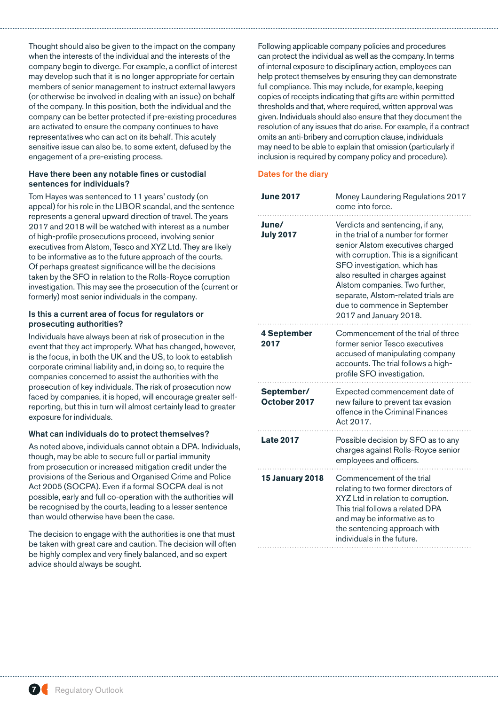Thought should also be given to the impact on the company when the interests of the individual and the interests of the company begin to diverge. For example, a conflict of interest may develop such that it is no longer appropriate for certain members of senior management to instruct external lawyers (or otherwise be involved in dealing with an issue) on behalf of the company. In this position, both the individual and the company can be better protected if pre-existing procedures are activated to ensure the company continues to have representatives who can act on its behalf. This acutely sensitive issue can also be, to some extent, defused by the engagement of a pre-existing process.

## Have there been any notable fines or custodial sentences for individuals?

Tom Hayes was sentenced to 11 years' custody (on appeal) for his role in the LIBOR scandal, and the sentence represents a general upward direction of travel. The years 2017 and 2018 will be watched with interest as a number of high-profile prosecutions proceed, involving senior executives from Alstom, Tesco and XYZ Ltd. They are likely to be informative as to the future approach of the courts. Of perhaps greatest significance will be the decisions taken by the SFO in relation to the Rolls-Royce corruption investigation. This may see the prosecution of the (current or formerly) most senior individuals in the company.

## Is this a current area of focus for regulators or prosecuting authorities?

Individuals have always been at risk of prosecution in the event that they act improperly. What has changed, however, is the focus, in both the UK and the US, to look to establish corporate criminal liability and, in doing so, to require the companies concerned to assist the authorities with the prosecution of key individuals. The risk of prosecution now faced by companies, it is hoped, will encourage greater selfreporting, but this in turn will almost certainly lead to greater exposure for individuals.

## What can individuals do to protect themselves?

As noted above, individuals cannot obtain a DPA. Individuals, though, may be able to secure full or partial immunity from prosecution or increased mitigation credit under the provisions of the Serious and Organised Crime and Police Act 2005 (SOCPA). Even if a formal SOCPA deal is not possible, early and full co-operation with the authorities will be recognised by the courts, leading to a lesser sentence than would otherwise have been the case.

The decision to engage with the authorities is one that must be taken with great care and caution. The decision will often be highly complex and very finely balanced, and so expert advice should always be sought.

Following applicable company policies and procedures can protect the individual as well as the company. In terms of internal exposure to disciplinary action, employees can help protect themselves by ensuring they can demonstrate full compliance. This may include, for example, keeping copies of receipts indicating that gifts are within permitted thresholds and that, where required, written approval was given. Individuals should also ensure that they document the resolution of any issues that do arise. For example, if a contract omits an anti-bribery and corruption clause, individuals may need to be able to explain that omission (particularly if inclusion is required by company policy and procedure).

| <b>June 2017</b>           | Money Laundering Regulations 2017<br>come into force.                                                                                                                                                                                                                                                                                                        |
|----------------------------|--------------------------------------------------------------------------------------------------------------------------------------------------------------------------------------------------------------------------------------------------------------------------------------------------------------------------------------------------------------|
| June/<br><b>July 2017</b>  | Verdicts and sentencing, if any,<br>in the trial of a number for former<br>senior Alstom executives charged<br>with corruption. This is a significant<br>SFO investigation, which has<br>also resulted in charges against<br>Alstom companies. Two further,<br>separate, Alstom-related trials are<br>due to commence in September<br>2017 and January 2018. |
| <b>4 September</b><br>2017 | Commencement of the trial of three<br>former senior Tesco executives<br>accused of manipulating company<br>accounts. The trial follows a high-<br>profile SFO investigation.                                                                                                                                                                                 |
| September/<br>October 2017 | Expected commencement date of<br>new failure to prevent tax evasion<br>offence in the Criminal Finances<br>Act 2017.                                                                                                                                                                                                                                         |
| <b>Late 2017</b>           | Possible decision by SFO as to any<br>charges against Rolls-Royce senior<br>employees and officers.                                                                                                                                                                                                                                                          |
| <b>15 January 2018</b>     | Commencement of the trial<br>relating to two former directors of<br>XYZ Ltd in relation to corruption.<br>This trial follows a related DPA<br>and may be informative as to<br>the sentencing approach with<br>individuals in the future.                                                                                                                     |

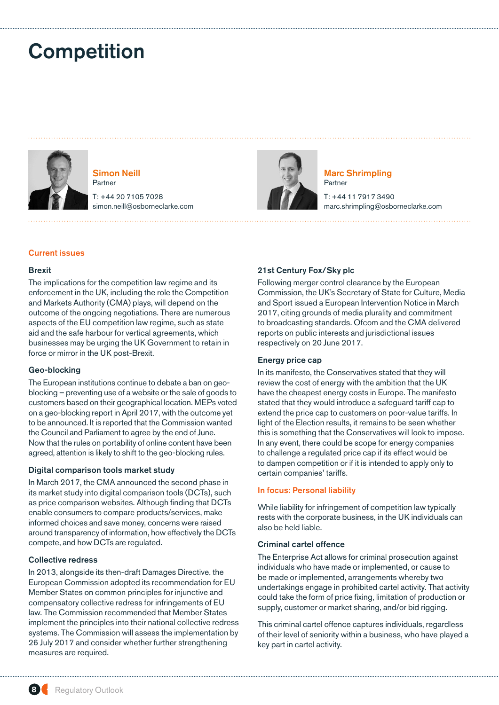# <span id="page-7-0"></span>**Competition**



Simon Neill Partner

T: +44 20 7105 7028 simon.neill@osborneclarke.com



Marc Shrimpling Partner

T: +44 11 7917 3490 marc.shrimpling@osborneclarke.com

## Current issues

## Brexit

The implications for the competition law regime and its enforcement in the UK, including the role the Competition and Markets Authority (CMA) plays, will depend on the outcome of the ongoing negotiations. There are numerous aspects of the EU competition law regime, such as state aid and the safe harbour for vertical agreements, which businesses may be urging the UK Government to retain in force or mirror in the UK post-Brexit.

## Geo-blocking

The European institutions continue to debate a ban on geoblocking – preventing use of a website or the sale of goods to customers based on their geographical location. MEPs voted on a geo-blocking report in April 2017, with the outcome yet to be announced. It is reported that the Commission wanted the Council and Parliament to agree by the end of June. Now that the rules on portability of online content have been agreed, attention is likely to shift to the geo-blocking rules.

## Digital comparison tools market study

In March 2017, the CMA announced the second phase in its market study into digital comparison tools (DCTs), such as price comparison websites. Although finding that DCTs enable consumers to compare products/services, make informed choices and save money, concerns were raised around transparency of information, how effectively the DCTs compete, and how DCTs are regulated.

## Collective redress

In 2013, alongside its then-draft Damages Directive, the European Commission adopted its recommendation for EU Member States on common principles for injunctive and compensatory collective redress for infringements of EU law. The Commission recommended that Member States implement the principles into their national collective redress systems. The Commission will assess the implementation by 26 July 2017 and consider whether further strengthening measures are required.

## 21st Century Fox/Sky plc

Following merger control clearance by the European Commission, the UK's Secretary of State for Culture, Media and Sport issued a European Intervention Notice in March 2017, citing grounds of media plurality and commitment to broadcasting standards. Ofcom and the CMA delivered reports on public interests and jurisdictional issues respectively on 20 June 2017.

## Energy price cap

In its manifesto, the Conservatives stated that they will review the cost of energy with the ambition that the UK have the cheapest energy costs in Europe. The manifesto stated that they would introduce a safeguard tariff cap to extend the price cap to customers on poor-value tariffs. In light of the Election results, it remains to be seen whether this is something that the Conservatives will look to impose. In any event, there could be scope for energy companies to challenge a regulated price cap if its effect would be to dampen competition or if it is intended to apply only to certain companies' tariffs.

## In focus: Personal liability

While liability for infringement of competition law typically rests with the corporate business, in the UK individuals can also be held liable.

## Criminal cartel offence

The Enterprise Act allows for criminal prosecution against individuals who have made or implemented, or cause to be made or implemented, arrangements whereby two undertakings engage in prohibited cartel activity. That activity could take the form of price fixing, limitation of production or supply, customer or market sharing, and/or bid rigging.

This criminal cartel offence captures individuals, regardless of their level of seniority within a business, who have played a key part in cartel activity.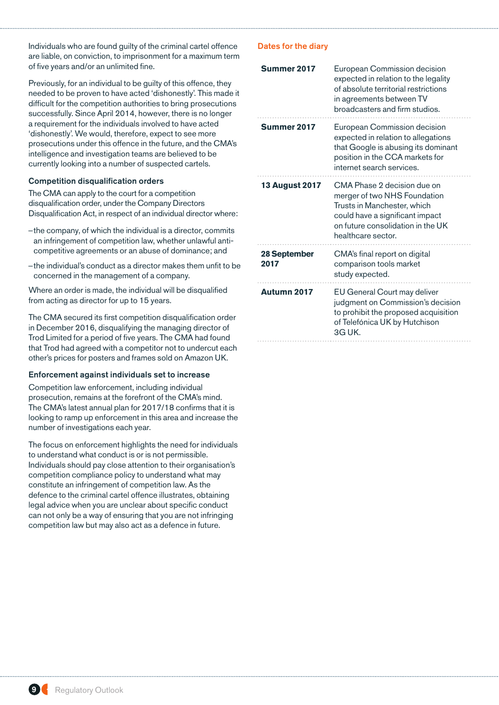Individuals who are found guilty of the criminal cartel offence are liable, on conviction, to imprisonment for a maximum term of five years and/or an unlimited fine.

Previously, for an individual to be guilty of this offence, they needed to be proven to have acted 'dishonestly'. This made it difficult for the competition authorities to bring prosecutions successfully. Since April 2014, however, there is no longer a requirement for the individuals involved to have acted 'dishonestly'. We would, therefore, expect to see more prosecutions under this offence in the future, and the CMA's intelligence and investigation teams are believed to be currently looking into a number of suspected cartels.

## Competition disqualification orders

The CMA can apply to the court for a competition disqualification order, under the Company Directors Disqualification Act, in respect of an individual director where:

- –the company, of which the individual is a director, commits an infringement of competition law, whether unlawful anticompetitive agreements or an abuse of dominance; and
- –the individual's conduct as a director makes them unfit to be concerned in the management of a company.

Where an order is made, the individual will be disqualified from acting as director for up to 15 years.

The CMA secured its first competition disqualification order in December 2016, disqualifying the managing director of Trod Limited for a period of five years. The CMA had found that Trod had agreed with a competitor not to undercut each other's prices for posters and frames sold on Amazon UK.

## Enforcement against individuals set to increase

Competition law enforcement, including individual prosecution, remains at the forefront of the CMA's mind. The CMA's latest annual plan for 2017/18 confirms that it is looking to ramp up enforcement in this area and increase the number of investigations each year.

The focus on enforcement highlights the need for individuals to understand what conduct is or is not permissible. Individuals should pay close attention to their organisation's competition compliance policy to understand what may constitute an infringement of competition law. As the defence to the criminal cartel offence illustrates, obtaining legal advice when you are unclear about specific conduct can not only be a way of ensuring that you are not infringing competition law but may also act as a defence in future.

| Summer 2017           | European Commission decision<br>expected in relation to the legality<br>of absolute territorial restrictions<br>in agreements between TV<br>broadcasters and firm studios.               |
|-----------------------|------------------------------------------------------------------------------------------------------------------------------------------------------------------------------------------|
| Summer 2017           | European Commission decision<br>expected in relation to allegations<br>that Google is abusing its dominant<br>position in the CCA markets for<br>internet search services.               |
| <b>13 August 2017</b> | CMA Phase 2 decision due on<br>merger of two NHS Foundation<br>Trusts in Manchester, which<br>could have a significant impact<br>on future consolidation in the UK<br>healthcare sector. |
| 28 September<br>2017  | CMA's final report on digital<br>comparison tools market<br>study expected.                                                                                                              |
| <b>Autumn 2017</b>    | EU General Court may deliver<br>judgment on Commission's decision<br>to prohibit the proposed acquisition<br>of Telefónica UK by Hutchison<br>3G UK.                                     |

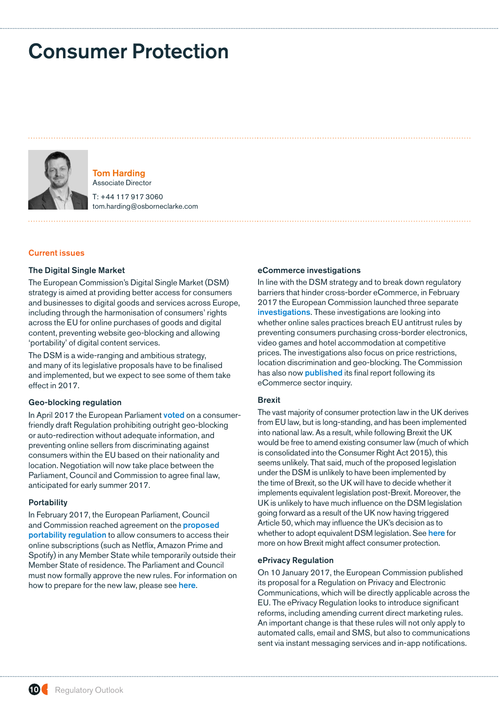# <span id="page-9-0"></span>Consumer Protection



Tom Harding Associate Director

T: +44 117 917 3060 tom.harding@osborneclarke.com

#### Current issues

#### The Digital Single Market

The European Commission's Digital Single Market (DSM) strategy is aimed at providing better access for consumers and businesses to digital goods and services across Europe, including through the harmonisation of consumers' rights across the EU for online purchases of goods and digital content, preventing website geo-blocking and allowing 'portability' of digital content services.

The DSM is a wide-ranging and ambitious strategy, and many of its legislative proposals have to be finalised and implemented, but we expect to see some of them take effect in 2017.

## Geo-blocking regulation

In April 2017 the European Parliament [voted](http://www.osborneclarke.com/insights/The-end-of-geo-blocking-What-the-Commissions-Regulation-really-means-for-your-business/) on a consumerfriendly draft Regulation prohibiting outright geo-blocking or auto-redirection without adequate information, and preventing online sellers from discriminating against consumers within the EU based on their nationality and location. Negotiation will now take place between the Parliament, Council and Commission to agree final law, anticipated for early summer 2017.

#### **Portability**

In February 2017, the European Parliament, Council and Commission reached agreement on the [proposed](http://data.consilium.europa.eu/doc/document/ST-15302-2015-INIT/en/pdf)  [portability regulation](http://data.consilium.europa.eu/doc/document/ST-15302-2015-INIT/en/pdf) to allow consumers to access their online subscriptions (such as Netflix, Amazon Prime and Spotify) in any Member State while temporarily outside their Member State of residence. The Parliament and Council must now formally approve the new rules. For information on how to prepare for the new law, please see [here](http://www.osborneclarke.com/insights/agreement-reached-on-eu-portability-regulation/).

#### eCommerce investigations

In line with the DSM strategy and to break down regulatory barriers that hinder cross-border eCommerce, in February 2017 the European Commission launched three separate [investigations](http://www.osborneclarke.com/insights/retail-pricing-and-geo-blocking-come-under-scrutiny-from-the-european-commission/). These investigations are looking into whether online sales practices breach EU antitrust rules by preventing consumers purchasing cross-border electronics, video games and hotel accommodation at competitive prices. The investigations also focus on price restrictions, location discrimination and geo-blocking. The Commission has also now **[published](http://www.osborneclarke.com/insights/e-commerce-sector-inquiry-commission-publishes-its-final-report/)** its final report following its eCommerce sector inquiry.

## **Brexit**

The vast majority of consumer protection law in the UK derives from EU law, but is long-standing, and has been implemented into national law. As a result, while following Brexit the UK would be free to amend existing consumer law (much of which is consolidated into the Consumer Right Act 2015), this seems unlikely. That said, much of the proposed legislation under the DSM is unlikely to have been implemented by the time of Brexit, so the UK will have to decide whether it implements equivalent legislation post-Brexit. Moreover, the UK is unlikely to have much influence on the DSM legislation going forward as a result of the UK now having triggered Article 50, which may influence the UK's decision as to whether to adopt equivalent DSM legislation. See [here](http://www.osborneclarke.com/insights/consumer-protection-implications-of-brexit-for-your-business/) for more on how Brexit might affect consumer protection.

#### ePrivacy Regulation

On 10 January 2017, the European Commission published its proposal for a Regulation on Privacy and Electronic Communications, which will be directly applicable across the EU. The ePrivacy Regulation looks to introduce significant reforms, including amending current direct marketing rules. An important change is that these rules will not only apply to automated calls, email and SMS, but also to communications sent via instant messaging services and in-app notifications.

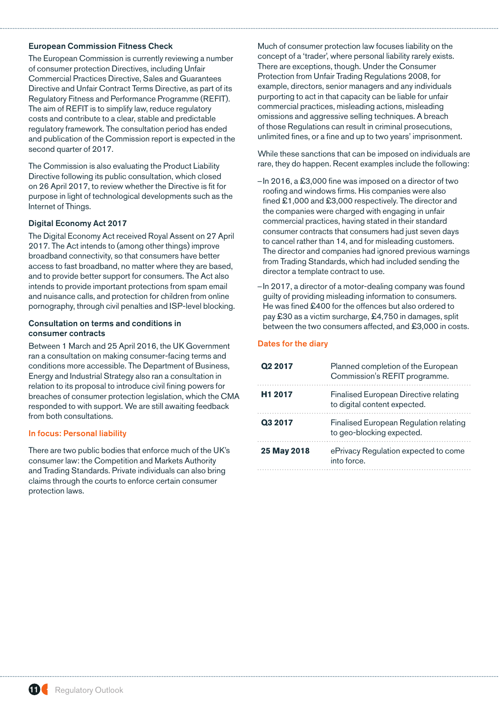## European Commission Fitness Check

The European Commission is currently reviewing a number of consumer protection Directives, including Unfair Commercial Practices Directive, Sales and Guarantees Directive and Unfair Contract Terms Directive, as part of its Regulatory Fitness and Performance Programme (REFIT). The aim of REFIT is to simplify law, reduce regulatory costs and contribute to a clear, stable and predictable regulatory framework. The consultation period has ended and publication of the Commission report is expected in the second quarter of 2017.

The Commission is also evaluating the Product Liability Directive following its public consultation, which closed on 26 April 2017, to review whether the Directive is fit for purpose in light of technological developments such as the Internet of Things.

## Digital Economy Act 2017

The Digital Economy Act received Royal Assent on 27 April 2017. The Act intends to (among other things) improve broadband connectivity, so that consumers have better access to fast broadband, no matter where they are based, and to provide better support for consumers. The Act also intends to provide important protections from spam email and nuisance calls, and protection for children from online pornography, through civil penalties and ISP-level blocking.

## Consultation on terms and conditions in consumer contracts

Between 1 March and 25 April 2016, the UK Government ran a consultation on making consumer-facing terms and conditions more accessible. The Department of Business, Energy and Industrial Strategy also ran a consultation in relation to its proposal to introduce civil fining powers for breaches of consumer protection legislation, which the CMA responded to with support. We are still awaiting feedback from both consultations.

## In focus: Personal liability

There are two public bodies that enforce much of the UK's consumer law: the Competition and Markets Authority and Trading Standards. Private individuals can also bring claims through the courts to enforce certain consumer protection laws.

Much of consumer protection law focuses liability on the concept of a 'trader', where personal liability rarely exists. There are exceptions, though. Under the Consumer Protection from Unfair Trading Regulations 2008, for example, directors, senior managers and any individuals purporting to act in that capacity can be liable for unfair commercial practices, misleading actions, misleading omissions and aggressive selling techniques. A breach of those Regulations can result in criminal prosecutions, unlimited fines, or a fine and up to two years' imprisonment.

While these sanctions that can be imposed on individuals are rare, they do happen. Recent examples include the following:

- –In 2016, a £3,000 fine was imposed on a director of two roofing and windows firms. His companies were also fined £1,000 and £3,000 respectively. The director and the companies were charged with engaging in unfair commercial practices, having stated in their standard consumer contracts that consumers had just seven days to cancel rather than 14, and for misleading customers. The director and companies had ignored previous warnings from Trading Standards, which had included sending the director a template contract to use.
- –In 2017, a director of a motor-dealing company was found guilty of providing misleading information to consumers. He was fined £400 for the offences but also ordered to pay £30 as a victim surcharge, £4,750 in damages, split between the two consumers affected, and £3,000 in costs.

| Q <sub>2</sub> 2017 | Planned completion of the European<br>Commission's REFIT programme.   |
|---------------------|-----------------------------------------------------------------------|
| H <sub>1</sub> 2017 | Finalised European Directive relating<br>to digital content expected. |
| Q3 2017             | Finalised European Regulation relating<br>to geo-blocking expected.   |
| 25 May 2018         | ePrivacy Regulation expected to come<br>into force                    |

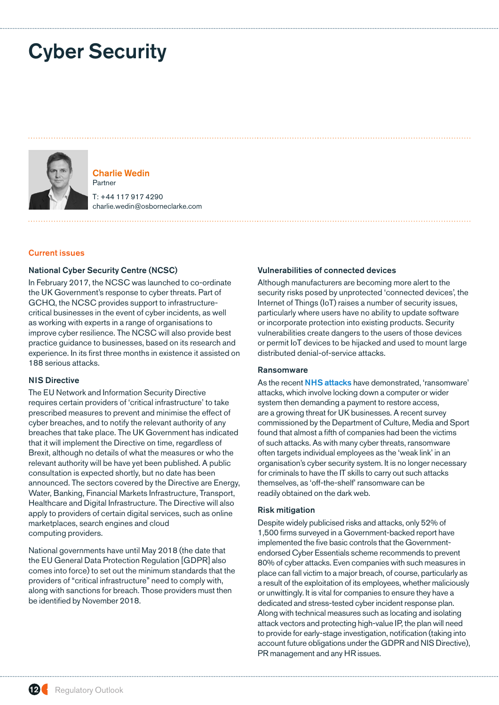# <span id="page-11-0"></span>Cyber Security



Charlie Wedin Partner T: +44 117 917 4290 charlie.wedin@osborneclarke.com

#### Current issues

## National Cyber Security Centre (NCSC)

In February 2017, the NCSC was launched to co-ordinate the UK Government's response to cyber threats. Part of GCHQ, the NCSC provides support to infrastructurecritical businesses in the event of cyber incidents, as well as working with experts in a range of organisations to improve cyber resilience. The NCSC will also provide best practice guidance to businesses, based on its research and experience. In its first three months in existence it assisted on 188 serious attacks.

## NIS Directive

The EU Network and Information Security Directive requires certain providers of 'critical infrastructure' to take prescribed measures to prevent and minimise the effect of cyber breaches, and to notify the relevant authority of any breaches that take place. The UK Government has indicated that it will implement the Directive on time, regardless of Brexit, although no details of what the measures or who the relevant authority will be have yet been published. A public consultation is expected shortly, but no date has been announced. The sectors covered by the Directive are Energy, Water, Banking, Financial Markets Infrastructure, Transport, Healthcare and Digital Infrastructure. The Directive will also apply to providers of certain digital services, such as online marketplaces, search engines and cloud computing providers.

National governments have until May 2018 (the date that the EU General Data Protection Regulation [GDPR] also comes into force) to set out the minimum standards that the providers of "critical infrastructure" need to comply with, along with sanctions for breach. Those providers must then be identified by November 2018.

#### Vulnerabilities of connected devices

Although manufacturers are becoming more alert to the security risks posed by unprotected 'connected devices', the Internet of Things (IoT) raises a number of security issues, particularly where users have no ability to update software or incorporate protection into existing products. Security vulnerabilities create dangers to the users of those devices or permit IoT devices to be hijacked and used to mount large distributed denial-of-service attacks.

## Ransomware

As the recent [NHS attacks](http://www.osborneclarke.com/insights/wannacry-cyber-attack-how-will-impending-new-laws-affect-security-obligations-and-regulatory-risk/) have demonstrated, 'ransomware' attacks, which involve locking down a computer or wider system then demanding a payment to restore access, are a growing threat for UK businesses. A recent survey commissioned by the Department of Culture, Media and Sport found that almost a fifth of companies had been the victims of such attacks. As with many cyber threats, ransomware often targets individual employees as the 'weak link' in an organisation's cyber security system. It is no longer necessary for criminals to have the IT skills to carry out such attacks themselves, as 'off-the-shelf' ransomware can be readily obtained on the dark web.

## Risk mitigation

Despite widely publicised risks and attacks, only 52% of 1,500 firms surveyed in a Government-backed report have implemented the five basic controls that the Governmentendorsed Cyber Essentials scheme recommends to prevent 80% of cyber attacks. Even companies with such measures in place can fall victim to a major breach, of course, particularly as a result of the exploitation of its employees, whether maliciously or unwittingly. It is vital for companies to ensure they have a dedicated and stress-tested cyber incident response plan. Along with technical measures such as locating and isolating attack vectors and protecting high-value IP, the plan will need to provide for early-stage investigation, notification (taking into account future obligations under the GDPR and NIS Directive), PR management and any HR issues.

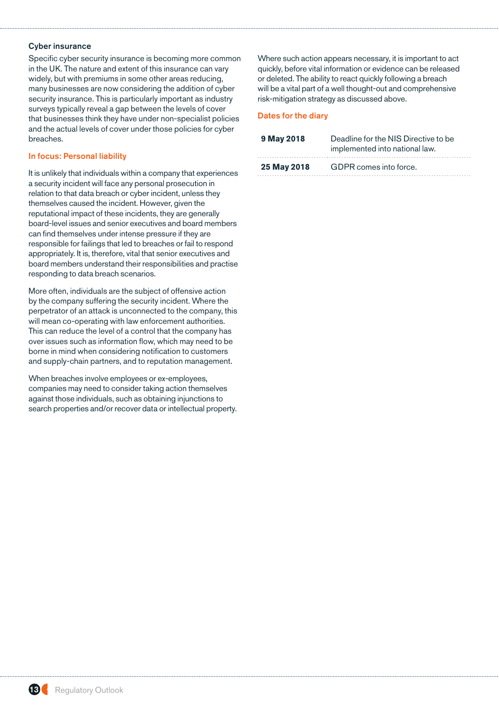## Cyber insurance

Specific cyber security insurance is becoming more common in the UK. The nature and extent of this insurance can vary widely, but with premiums in some other areas reducing, many businesses are now considering the addition of cyber security insurance. This is particularly important as industry surveys typically reveal a gap between the levels of cover that businesses think they have under non-specialist policies and the actual levels of cover under those policies for cyber breaches.

# In focus: Personal liability

It is unlikely that individuals within a company that experiences a security incident will face any personal prosecution in relation to that data breach or cyber incident, unless they themselves caused the incident. However, given the reputational impact of these incidents, they are generally board-level issues and senior executives and board members can find themselves under intense pressure if they are responsible for failings that led to breaches or fail to respond appropriately. It is, therefore, vital that senior executives and board members understand their responsibilities and practise responding to data breach scenarios.

More often, individuals are the subject of offensive action by the company suffering the security incident. Where the perpetrator of an attack is unconnected to the company, this will mean co-operating with law enforcement authorities. This can reduce the level of a control that the company has over issues such as information flow, which may need to be borne in mind when considering notification to customers and supply-chain partners, and to reputation management.

When breaches involve employees or ex-employees, companies may need to consider taking action themselves against those individuals, such as obtaining injunctions to search properties and/or recover data or intellectual property. Where such action appears necessary, it is important to act quickly, before vital information or evidence can be released or deleted. The ability to react quickly following a breach will be a vital part of a well thought-out and comprehensive risk-mitigation strategy as discussed above.

| 9 May 2018  | Deadline for the NIS Directive to be<br>implemented into national law. |
|-------------|------------------------------------------------------------------------|
| 25 May 2018 | GDPR comes into force.                                                 |

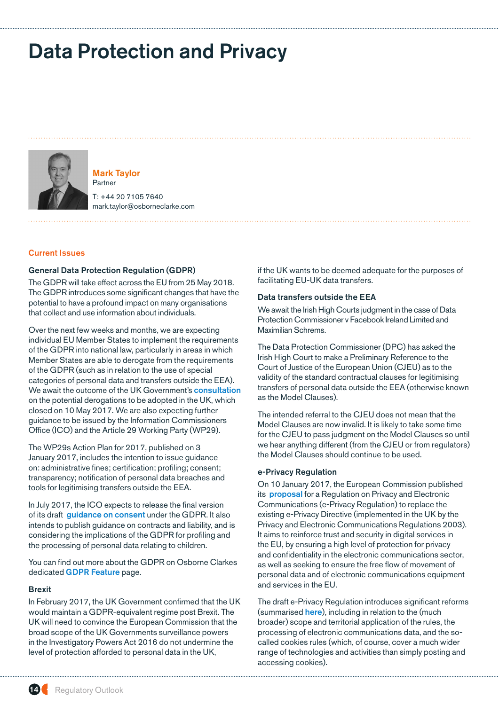# <span id="page-13-0"></span>Data Protection and Privacy



Mark Taylor Partner

T: +44 20 7105 7640 mark.taylor@osborneclarke.com

# Current Issues

#### General Data Protection Regulation (GDPR)

The GDPR will take effect across the EU from 25 May 2018. The GDPR introduces some significant changes that have the potential to have a profound impact on many organisations that collect and use information about individuals.

Over the next few weeks and months, we are expecting individual EU Member States to implement the requirements of the GDPR into national law, particularly in areas in which Member States are able to derogate from the requirements of the GDPR (such as in relation to the use of special categories of personal data and transfers outside the EEA). We await the outcome of the UK Government's **[consultation](https://www.gov.uk/government/consultations/general-data-protection-regulation-call-for-views)** on the potential derogations to be adopted in the UK, which closed on 10 May 2017. We are also expecting further guidance to be issued by the Information Commissioners Office (ICO) and the Article 29 Working Party (WP29).

The WP29s Action Plan for 2017, published on 3 January 2017, includes the intention to issue guidance on: administrative fines; certification; profiling; consent; transparency; notification of personal data breaches and tools for legitimising transfers outside the EEA.

In July 2017, the ICO expects to release the final version of its draft [guidance on consent](https://ico.org.uk/media/about-the-ico/consultations/2013551/draft-gdpr-consent-guidance-for-consultation-201703.pdf) under the GDPR. It also intends to publish guidance on contracts and liability, and is considering the implications of the GDPR for profiling and the processing of personal data relating to children.

You can find out more about the GDPR on Osborne Clarkes dedicated **[GDPR Feature](http://www.osborneclarke.com/insights/feature/general-data-protection-regulation-gdpr/)** page.

## Brexit

In February 2017, the UK Government confirmed that the UK would maintain a GDPR-equivalent regime post Brexit. The UK will need to convince the European Commission that the broad scope of the UK Governments surveillance powers in the Investigatory Powers Act 2016 do not undermine the level of protection afforded to personal data in the UK,

if the UK wants to be deemed adequate for the purposes of facilitating EU-UK data transfers.

### Data transfers outside the EEA

We await the Irish High Courts judgment in the case of Data Protection Commissioner v Facebook Ireland Limited and Maximilian Schrems.

The Data Protection Commissioner (DPC) has asked the Irish High Court to make a Preliminary Reference to the Court of Justice of the European Union (CJEU) as to the validity of the standard contractual clauses for legitimising transfers of personal data outside the EEA (otherwise known as the Model Clauses).

The intended referral to the CJEU does not mean that the Model Clauses are now invalid. It is likely to take some time for the CJEU to pass judgment on the Model Clauses so until we hear anything different (from the CJEU or from regulators) the Model Clauses should continue to be used.

#### e-Privacy Regulation

On 10 January 2017, the European Commission published its **[proposal](https://ec.europa.eu/digital-single-market/en/news/proposal-regulation-privacy-and-electronic-communications)** for a Regulation on Privacy and Electronic Communications (e-Privacy Regulation) to replace the existing e-Privacy Directive (implemented in the UK by the Privacy and Electronic Communications Regulations 2003). It aims to reinforce trust and security in digital services in the EU, by ensuring a high level of protection for privacy and confidentiality in the electronic communications sector, as well as seeking to ensure the free flow of movement of personal data and of electronic communications equipment and services in the EU.

The draft e-Privacy Regulation introduces significant reforms (summarised [here](http://www.osborneclarke.com/insights/the-european-commissions-draft-regulation-on-privacy-and-electronic-communications-introduces-stronger-privacy-rules-for-electronic-communications/)), including in relation to the (much broader) scope and territorial application of the rules, the processing of electronic communications data, and the socalled cookies rules (which, of course, cover a much wider range of technologies and activities than simply posting and accessing cookies).

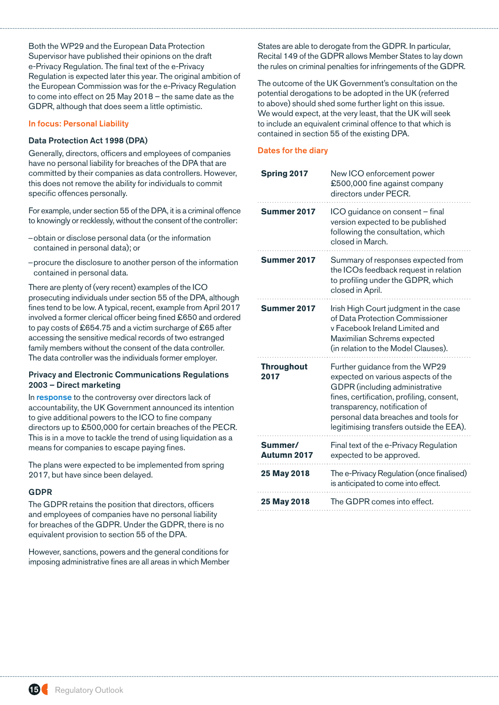Both the WP29 and the European Data Protection Supervisor have published their opinions on the draft e-Privacy Regulation. The final text of the e-Privacy Regulation is expected later this year. The original ambition of the European Commission was for the e-Privacy Regulation to come into effect on 25 May 2018 – the same date as the GDPR, although that does seem a little optimistic.

## In focus: Personal Liability

## Data Protection Act 1998 (DPA)

Generally, directors, officers and employees of companies have no personal liability for breaches of the DPA that are committed by their companies as data controllers. However, this does not remove the ability for individuals to commit specific offences personally.

For example, under section 55 of the DPA, it is a criminal offence to knowingly or recklessly, without the consent of the controller:

- –obtain or disclose personal data (or the information contained in personal data); or
- –procure the disclosure to another person of the information contained in personal data.

There are plenty of (very recent) examples of the ICO prosecuting individuals under section 55 of the DPA, although fines tend to be low. A typical, recent, example from April 2017 involved a former clerical officer being fined £650 and ordered to pay costs of £654.75 and a victim surcharge of £65 after accessing the sensitive medical records of two estranged family members without the consent of the data controller. The data controller was the individuals former employer.

## Privacy and Electronic Communications Regulations 2003 – Direct marketing

In [response](https://www.gov.uk/government/news/government-clamps-down-on-nuisance-call-crooks) to the controversy over directors lack of accountability, the UK Government announced its intention to give additional powers to the ICO to fine company directors up to £500,000 for certain breaches of the PECR. This is in a move to tackle the trend of using liquidation as a means for companies to escape paying fines.

The plans were expected to be implemented from spring 2017, but have since been delayed.

## GDPR

The GDPR retains the position that directors, officers and employees of companies have no personal liability for breaches of the GDPR. Under the GDPR, there is no equivalent provision to section 55 of the DPA.

However, sanctions, powers and the general conditions for imposing administrative fines are all areas in which Member States are able to derogate from the GDPR. In particular, Recital 149 of the GDPR allows Member States to lay down the rules on criminal penalties for infringements of the GDPR.

The outcome of the UK Government's consultation on the potential derogations to be adopted in the UK (referred to above) should shed some further light on this issue. We would expect, at the very least, that the UK will seek to include an equivalent criminal offence to that which is contained in section 55 of the existing DPA.

| <b>Spring 2017</b>        | New ICO enforcement power<br>£500,000 fine against company<br>directors under PECR.                                                                                                                                                                                      |
|---------------------------|--------------------------------------------------------------------------------------------------------------------------------------------------------------------------------------------------------------------------------------------------------------------------|
| Summer 2017               | ICO guidance on consent - final<br>version expected to be published<br>following the consultation, which<br>closed in March.                                                                                                                                             |
| Summer 2017               | Summary of responses expected from<br>the ICOs feedback request in relation<br>to profiling under the GDPR, which<br>closed in April.                                                                                                                                    |
| Summer 2017               | Irish High Court judgment in the case<br>of Data Protection Commissioner<br>y Facebook Ireland Limited and<br>Maximilian Schrems expected<br>(in relation to the Model Clauses).                                                                                         |
| <b>Throughout</b><br>2017 | Further guidance from the WP29<br>expected on various aspects of the<br>GDPR (including administrative<br>fines, certification, profiling, consent,<br>transparency, notification of<br>personal data breaches and tools for<br>legitimising transfers outside the EEA). |
| Summer/<br>Autumn 2017    | Final text of the e-Privacy Regulation<br>expected to be approved.                                                                                                                                                                                                       |
| 25 May 2018               | The e-Privacy Regulation (once finalised)<br>is anticipated to come into effect.                                                                                                                                                                                         |
| 25 May 2018               | The GDPR comes into effect.                                                                                                                                                                                                                                              |

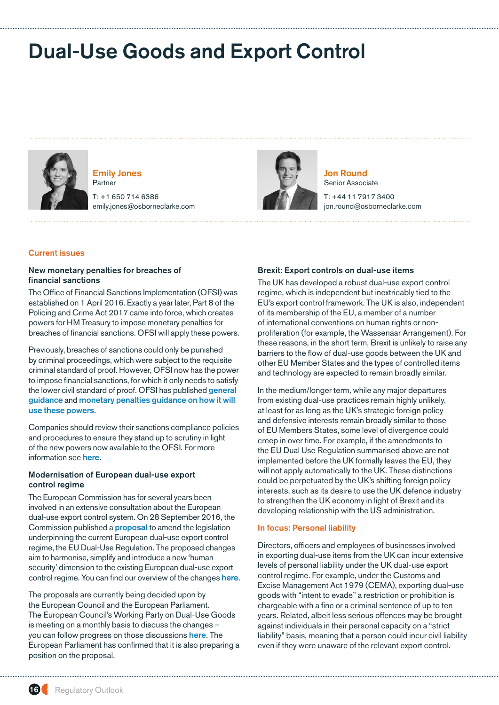# <span id="page-15-0"></span>Dual-Use Goods and Export Control



Emily Jones Partner

T: +1 650 714 6386 emily.jones@osborneclarke.com



Jon Round Senior Associate

T: +44 11 7917 3400 jon.round@osborneclarke.com

# Current issues

## New monetary penalties for breaches of financial sanctions

The Office of Financial Sanctions Implementation (OFSI) was established on 1 April 2016. Exactly a year later, Part 8 of the Policing and Crime Act 2017 came into force, which creates powers for HM Treasury to impose monetary penalties for breaches of financial sanctions. OFSI will apply these powers.

Previously, breaches of sanctions could only be punished by criminal proceedings, which were subject to the requisite criminal standard of proof. However, OFSI now has the power to impose financial sanctions, for which it only needs to satisfy the lower civil standard of proof. OFSI has published **general** [guidance](https://www.gov.uk/government/uploads/system/uploads/attachment_data/file/605980/OFSI_Financial_Sanctions_-_Guidance_-_April_2017.pdf) and [monetary penalties guidance on how it will](https://www.gov.uk/government/uploads/system/uploads/attachment_data/file/605884/Monetary_penalties_for_breaches_of_financial_sanctions.pdf)  [use these powers](https://www.gov.uk/government/uploads/system/uploads/attachment_data/file/605884/Monetary_penalties_for_breaches_of_financial_sanctions.pdf).

Companies should review their sanctions compliance policies and procedures to ensure they stand up to scrutiny in light of the new powers now available to the OFSI. For more information see [here](http://www.osborneclarke.com/insights/sanctions-new-monetary-penalties-for-breaches-of-financial-sanctions/).

## Modernisation of European dual-use export control regime

The European Commission has for several years been involved in an extensive consultation about the European dual-use export control system. On 28 September 2016, the Commission published a [proposal](http://europa.eu/rapid/press-release_IP-16-3190_en.htm) to amend the legislation underpinning the current European dual-use export control regime, the EU Dual-Use Regulation. The proposed changes aim to harmonise, simplify and introduce a new 'human security' dimension to the existing European dual-use export control regime. You can find our overview of the changes [here](http://www.osborneclarke.com/insights/upcoming-changes-to-bring-cyber-surveillance-technology-within-eu-export-control-regime).

The proposals are currently being decided upon by the European Council and the European Parliament. The European Council's Working Party on Dual-Use Goods is meeting on a monthly basis to discuss the changes – you can follow progress on those discussions [here](http://www.consilium.europa.eu/en/meetings/mpo/2017/5/dual-use-goods-(256472)/). The European Parliament has confirmed that it is also preparing a position on the proposal.

#### Brexit: Export controls on dual-use items

The UK has developed a robust dual-use export control regime, which is independent but inextricably tied to the EU's export control framework. The UK is also, independent of its membership of the EU, a member of a number of international conventions on human rights or nonproliferation (for example, the Wassenaar Arrangement). For these reasons, in the short term, Brexit is unlikely to raise any barriers to the flow of dual-use goods between the UK and other EU Member States and the types of controlled items and technology are expected to remain broadly similar.

In the medium/longer term, while any major departures from existing dual-use practices remain highly unlikely, at least for as long as the UK's strategic foreign policy and defensive interests remain broadly similar to those of EU Members States, some level of divergence could creep in over time. For example, if the amendments to the EU Dual Use Regulation summarised above are not implemented before the UK formally leaves the EU, they will not apply automatically to the UK. These distinctions could be perpetuated by the UK's shifting foreign policy interests, such as its desire to use the UK defence industry to strengthen the UK economy in light of Brexit and its developing relationship with the US administration.

#### In focus: Personal liability

Directors, officers and employees of businesses involved in exporting dual-use items from the UK can incur extensive levels of personal liability under the UK dual-use export control regime. For example, under the Customs and Excise Management Act 1979 (CEMA), exporting dual-use goods with "intent to evade" a restriction or prohibition is chargeable with a fine or a criminal sentence of up to ten years. Related, albeit less serious offences may be brought against individuals in their personal capacity on a "strict liability" basis, meaning that a person could incur civil liability even if they were unaware of the relevant export control.

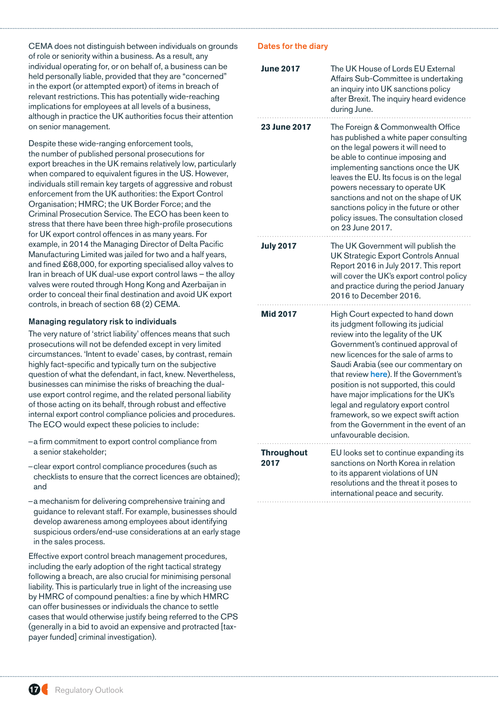CEMA does not distinguish between individuals on grounds of role or seniority within a business. As a result, any individual operating for, or on behalf of, a business can be held personally liable, provided that they are "concerned" in the export (or attempted export) of items in breach of relevant restrictions. This has potentially wide-reaching implications for employees at all levels of a business, although in practice the UK authorities focus their attention on senior management.

Despite these wide-ranging enforcement tools, the number of published personal prosecutions for export breaches in the UK remains relatively low, particularly when compared to equivalent figures in the US. However, individuals still remain key targets of aggressive and robust enforcement from the UK authorities: the Export Control Organisation; HMRC; the UK Border Force; and the Criminal Prosecution Service. The ECO has been keen to stress that there have been three high-profile prosecutions for UK export control offences in as many years. For example, in 2014 the Managing Director of Delta Pacific Manufacturing Limited was jailed for two and a half years, and fined £68,000, for exporting specialised alloy valves to Iran in breach of UK dual-use export control laws – the alloy valves were routed through Hong Kong and Azerbaijan in order to conceal their final destination and avoid UK export controls, in breach of section 68 (2) CEMA.

## Managing regulatory risk to individuals

The very nature of 'strict liability' offences means that such prosecutions will not be defended except in very limited circumstances. 'Intent to evade' cases, by contrast, remain highly fact-specific and typically turn on the subjective question of what the defendant, in fact, knew. Nevertheless, businesses can minimise the risks of breaching the dualuse export control regime, and the related personal liability of those acting on its behalf, through robust and effective internal export control compliance policies and procedures. The ECO would expect these policies to include:

- –a firm commitment to export control compliance from a senior stakeholder;
- –clear export control compliance procedures (such as checklists to ensure that the correct licences are obtained); and
- –a mechanism for delivering comprehensive training and guidance to relevant staff. For example, businesses should develop awareness among employees about identifying suspicious orders/end-use considerations at an early stage in the sales process.

Effective export control breach management procedures, including the early adoption of the right tactical strategy following a breach, are also crucial for minimising personal liability. This is particularly true in light of the increasing use by HMRC of compound penalties: a fine by which HMRC can offer businesses or individuals the chance to settle cases that would otherwise justify being referred to the CPS (generally in a bid to avoid an expensive and protracted [taxpayer funded] criminal investigation).

| <b>June 2017</b>          | The UK House of Lords EU External<br>Affairs Sub-Committee is undertaking<br>an inquiry into UK sanctions policy<br>after Brexit. The inquiry heard evidence<br>during June.                                                                                                                                                                                                                                                                                                                                     |
|---------------------------|------------------------------------------------------------------------------------------------------------------------------------------------------------------------------------------------------------------------------------------------------------------------------------------------------------------------------------------------------------------------------------------------------------------------------------------------------------------------------------------------------------------|
| <b>23 June 2017</b>       | The Foreign & Commonwealth Office<br>has published a white paper consulting<br>on the legal powers it will need to<br>be able to continue imposing and<br>implementing sanctions once the UK<br>leaves the EU. Its focus is on the legal<br>powers necessary to operate UK<br>sanctions and not on the shape of UK<br>sanctions policy in the future or other<br>policy issues. The consultation closed<br>on 23 June 2017.                                                                                      |
| <b>July 2017</b>          | The UK Government will publish the<br><b>UK Strategic Export Controls Annual</b><br>Report 2016 in July 2017. This report<br>will cover the UK's export control policy<br>and practice during the period January<br>2016 to December 2016.                                                                                                                                                                                                                                                                       |
| <b>Mid 2017</b>           | High Court expected to hand down<br>its judgment following its judicial<br>review into the legality of the UK<br>Government's continued approval of<br>new licences for the sale of arms to<br>Saudi Arabia (see our commentary on<br>that review here). If the Government's<br>position is not supported, this could<br>have major implications for the UK's<br>legal and regulatory export control<br>framework, so we expect swift action<br>from the Government in the event of an<br>unfavourable decision. |
| <b>Throughout</b><br>2017 | EU looks set to continue expanding its<br>sanctions on North Korea in relation<br>to its apparent violations of UN<br>resolutions and the threat it poses to<br>international peace and security.                                                                                                                                                                                                                                                                                                                |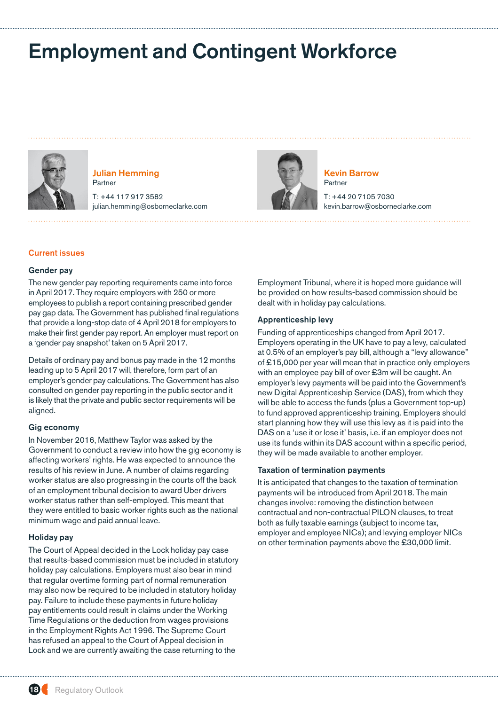# <span id="page-17-0"></span>Employment and Contingent Workforce



Julian Hemming Partner

T: +44 117 917 3582 julian.hemming@osborneclarke.com



Kevin Barrow Partner

T: +44 20 7105 7030 kevin.barrow@osborneclarke.com

## Current issues

## Gender pay

The new gender pay reporting requirements came into force in April 2017. They require employers with 250 or more employees to publish a report containing prescribed gender pay gap data. The Government has published final regulations that provide a long-stop date of 4 April 2018 for employers to make their first gender pay report. An employer must report on a 'gender pay snapshot' taken on 5 April 2017.

Details of ordinary pay and bonus pay made in the 12 months leading up to 5 April 2017 will, therefore, form part of an employer's gender pay calculations. The Government has also consulted on gender pay reporting in the public sector and it is likely that the private and public sector requirements will be aligned.

## Gig economy

In November 2016, Matthew Taylor was asked by the Government to conduct a review into how the gig economy is affecting workers' rights. He was expected to announce the results of his review in June. A number of claims regarding worker status are also progressing in the courts off the back of an employment tribunal decision to award Uber drivers worker status rather than self-employed. This meant that they were entitled to basic worker rights such as the national minimum wage and paid annual leave.

## Holiday pay

The Court of Appeal decided in the Lock holiday pay case that results-based commission must be included in statutory holiday pay calculations. Employers must also bear in mind that regular overtime forming part of normal remuneration may also now be required to be included in statutory holiday pay. Failure to include these payments in future holiday pay entitlements could result in claims under the Working Time Regulations or the deduction from wages provisions in the Employment Rights Act 1996. The Supreme Court has refused an appeal to the Court of Appeal decision in Lock and we are currently awaiting the case returning to the

Employment Tribunal, where it is hoped more guidance will be provided on how results-based commission should be dealt with in holiday pay calculations.

#### Apprenticeship levy

Funding of apprenticeships changed from April 2017. Employers operating in the UK have to pay a levy, calculated at 0.5% of an employer's pay bill, although a "levy allowance" of £15,000 per year will mean that in practice only employers with an employee pay bill of over £3m will be caught. An employer's levy payments will be paid into the Government's new Digital Apprenticeship Service (DAS), from which they will be able to access the funds (plus a Government top-up) to fund approved apprenticeship training. Employers should start planning how they will use this levy as it is paid into the DAS on a 'use it or lose it' basis, i.e. if an employer does not use its funds within its DAS account within a specific period, they will be made available to another employer.

#### Taxation of termination payments

It is anticipated that changes to the taxation of termination payments will be introduced from April 2018. The main changes involve: removing the distinction between contractual and non-contractual PILON clauses, to treat both as fully taxable earnings (subject to income tax, employer and employee NICs); and levying employer NICs on other termination payments above the £30,000 limit.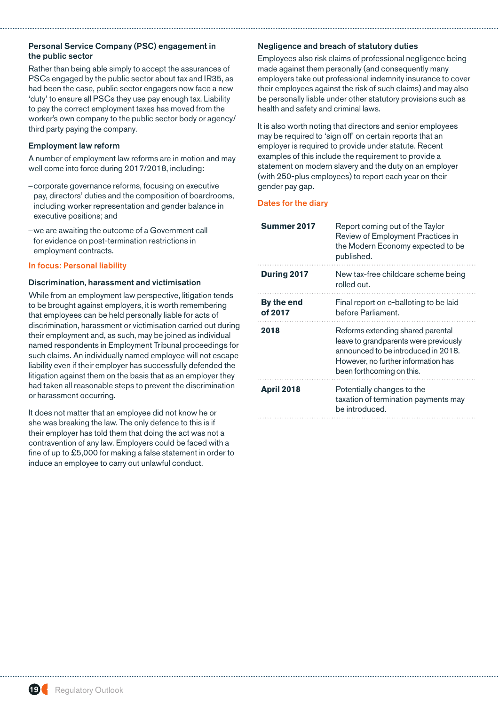# Personal Service Company (PSC) engagement in the public sector

Rather than being able simply to accept the assurances of PSCs engaged by the public sector about tax and IR35, as had been the case, public sector engagers now face a new 'duty' to ensure all PSCs they use pay enough tax. Liability to pay the correct employment taxes has moved from the worker's own company to the public sector body or agency/ third party paying the company.

# Employment law reform

A number of employment law reforms are in motion and may well come into force during 2017/2018, including:

- –corporate governance reforms, focusing on executive pay, directors' duties and the composition of boardrooms, including worker representation and gender balance in executive positions; and
- –we are awaiting the outcome of a Government call for evidence on post-termination restrictions in employment contracts.

## In focus: Personal liability

## Discrimination, harassment and victimisation

While from an employment law perspective, litigation tends to be brought against employers, it is worth remembering that employees can be held personally liable for acts of discrimination, harassment or victimisation carried out during their employment and, as such, may be joined as individual named respondents in Employment Tribunal proceedings for such claims. An individually named employee will not escape liability even if their employer has successfully defended the litigation against them on the basis that as an employer they had taken all reasonable steps to prevent the discrimination or harassment occurring.

It does not matter that an employee did not know he or she was breaking the law. The only defence to this is if their employer has told them that doing the act was not a contravention of any law. Employers could be faced with a fine of up to £5,000 for making a false statement in order to induce an employee to carry out unlawful conduct.

# Negligence and breach of statutory duties

Employees also risk claims of professional negligence being made against them personally (and consequently many employers take out professional indemnity insurance to cover their employees against the risk of such claims) and may also be personally liable under other statutory provisions such as health and safety and criminal laws.

It is also worth noting that directors and senior employees may be required to 'sign off' on certain reports that an employer is required to provide under statute. Recent examples of this include the requirement to provide a statement on modern slavery and the duty on an employer (with 250-plus employees) to report each year on their gender pay gap.

| Summer 2017           | Report coming out of the Taylor<br>Review of Employment Practices in<br>the Modern Economy expected to be<br>published.                                                               |
|-----------------------|---------------------------------------------------------------------------------------------------------------------------------------------------------------------------------------|
| <b>During 2017</b>    | New tax-free childcare scheme being<br>rolled out.                                                                                                                                    |
| By the end<br>of 2017 | Final report on e-balloting to be laid<br>before Parliament.                                                                                                                          |
| 2018                  | Reforms extending shared parental<br>leave to grandparents were previously<br>announced to be introduced in 2018.<br>However, no further information has<br>been forthcoming on this. |
| <b>April 2018</b>     | Potentially changes to the<br>taxation of termination payments may<br>be introduced.                                                                                                  |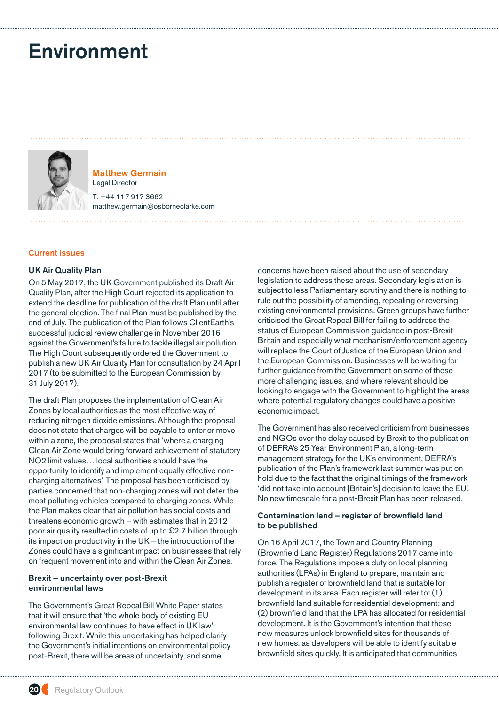# <span id="page-19-0"></span>Environment



Matthew Germain Legal Director

T: +44 117 917 3662 matthew.germain@osborneclarke.com

## Current issues

## UK Air Quality Plan

On 5 May 2017, the UK Government published its Draft Air Quality Plan, after the High Court rejected its application to extend the deadline for publication of the draft Plan until after the general election. The final Plan must be published by the end of July. The publication of the Plan follows ClientEarth's successful judicial review challenge in November 2016 against the Government's failure to tackle illegal air pollution. The High Court subsequently ordered the Government to publish a new UK Air Quality Plan for consultation by 24 April 2017 (to be submitted to the European Commission by 31 July 2017).

The draft Plan proposes the implementation of Clean Air Zones by local authorities as the most effective way of reducing nitrogen dioxide emissions. Although the proposal does not state that charges will be payable to enter or move within a zone, the proposal states that 'where a charging Clean Air Zone would bring forward achievement of statutory NO2 limit values… local authorities should have the opportunity to identify and implement equally effective noncharging alternatives'. The proposal has been criticised by parties concerned that non-charging zones will not deter the most polluting vehicles compared to charging zones. While the Plan makes clear that air pollution has social costs and threatens economic growth – with estimates that in 2012 poor air quality resulted in costs of up to £2.7 billion through its impact on productivity in the UK – the introduction of the Zones could have a significant impact on businesses that rely on frequent movement into and within the Clean Air Zones.

## Brexit – uncertainty over post-Brexit environmental laws

The Government's Great Repeal Bill White Paper states that it will ensure that 'the whole body of existing EU environmental law continues to have effect in UK law' following Brexit. While this undertaking has helped clarify the Government's initial intentions on environmental policy post-Brexit, there will be areas of uncertainty, and some

concerns have been raised about the use of secondary legislation to address these areas. Secondary legislation is subject to less Parliamentary scrutiny and there is nothing to rule out the possibility of amending, repealing or reversing existing environmental provisions. Green groups have further criticised the Great Repeal Bill for failing to address the status of European Commission guidance in post-Brexit Britain and especially what mechanism/enforcement agency will replace the Court of Justice of the European Union and the European Commission. Businesses will be waiting for further guidance from the Government on some of these more challenging issues, and where relevant should be looking to engage with the Government to highlight the areas where potential regulatory changes could have a positive economic impact.

The Government has also received criticism from businesses and NGOs over the delay caused by Brexit to the publication of DEFRA's 25 Year Environment Plan, a long-term management strategy for the UK's environment. DEFRA's publication of the Plan's framework last summer was put on hold due to the fact that the original timings of the framework 'did not take into account [Britain's] decision to leave the EU'. No new timescale for a post-Brexit Plan has been released.

## Contamination land – register of brownfield land to be published

On 16 April 2017, the Town and Country Planning (Brownfield Land Register) Regulations 2017 came into force. The Regulations impose a duty on local planning authorities (LPAs) in England to prepare, maintain and publish a register of brownfield land that is suitable for development in its area. Each register will refer to: (1) brownfield land suitable for residential development; and (2) brownfield land that the LPA has allocated for residential development. It is the Government's intention that these new measures unlock brownfield sites for thousands of new homes, as developers will be able to identify suitable brownfield sites quickly. It is anticipated that communities

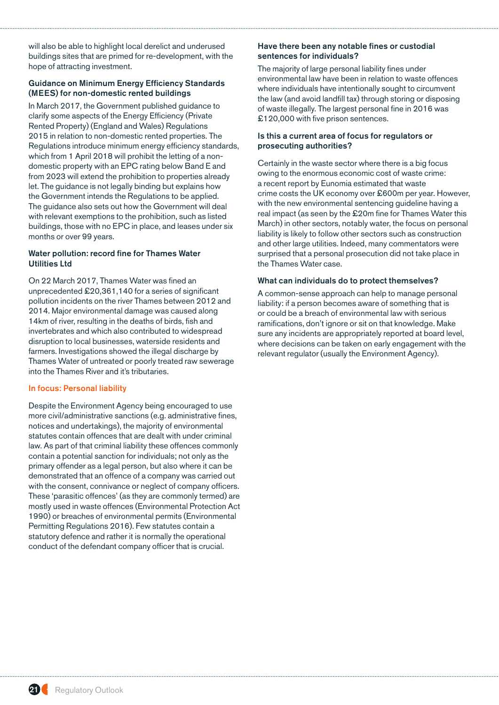will also be able to highlight local derelict and underused buildings sites that are primed for re-development, with the hope of attracting investment.

# Guidance on Minimum Energy Efficiency Standards (MEES) for non-domestic rented buildings

In March 2017, the Government published guidance to clarify some aspects of the Energy Efficiency (Private Rented Property) (England and Wales) Regulations 2015 in relation to non-domestic rented properties. The Regulations introduce minimum energy efficiency standards, which from 1 April 2018 will prohibit the letting of a nondomestic property with an EPC rating below Band E and from 2023 will extend the prohibition to properties already let. The guidance is not legally binding but explains how the Government intends the Regulations to be applied. The guidance also sets out how the Government will deal with relevant exemptions to the prohibition, such as listed buildings, those with no EPC in place, and leases under six months or over 99 years.

## Water pollution: record fine for Thames Water Utilities Ltd

On 22 March 2017, Thames Water was fined an unprecedented £20,361,140 for a series of significant pollution incidents on the river Thames between 2012 and 2014. Major environmental damage was caused along 14km of river, resulting in the deaths of birds, fish and invertebrates and which also contributed to widespread disruption to local businesses, waterside residents and farmers. Investigations showed the illegal discharge by Thames Water of untreated or poorly treated raw sewerage into the Thames River and it's tributaries.

## In focus: Personal liability

Despite the Environment Agency being encouraged to use more civil/administrative sanctions (e.g. administrative fines, notices and undertakings), the majority of environmental statutes contain offences that are dealt with under criminal law. As part of that criminal liability these offences commonly contain a potential sanction for individuals; not only as the primary offender as a legal person, but also where it can be demonstrated that an offence of a company was carried out with the consent, connivance or neglect of company officers. These 'parasitic offences' (as they are commonly termed) are mostly used in waste offences (Environmental Protection Act 1990) or breaches of environmental permits (Environmental Permitting Regulations 2016). Few statutes contain a statutory defence and rather it is normally the operational conduct of the defendant company officer that is crucial.

## Have there been any notable fines or custodial sentences for individuals?

The majority of large personal liability fines under environmental law have been in relation to waste offences where individuals have intentionally sought to circumvent the law (and avoid landfill tax) through storing or disposing of waste illegally. The largest personal fine in 2016 was £120,000 with five prison sentences.

## Is this a current area of focus for regulators or prosecuting authorities?

Certainly in the waste sector where there is a big focus owing to the enormous economic cost of waste crime: a recent report by Eunomia estimated that waste crime costs the UK economy over £600m per year. However, with the new environmental sentencing guideline having a real impact (as seen by the £20m fine for Thames Water this March) in other sectors, notably water, the focus on personal liability is likely to follow other sectors such as construction and other large utilities. Indeed, many commentators were surprised that a personal prosecution did not take place in the Thames Water case.

## What can individuals do to protect themselves?

A common-sense approach can help to manage personal liability: if a person becomes aware of something that is or could be a breach of environmental law with serious ramifications, don't ignore or sit on that knowledge. Make sure any incidents are appropriately reported at board level, where decisions can be taken on early engagement with the relevant regulator (usually the Environment Agency).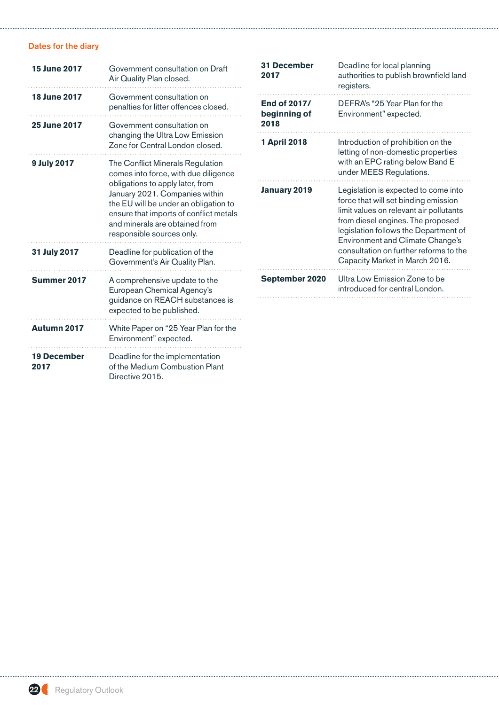| <b>15 June 2017</b>                                                                                                                                                                                                  | Government consultation on Draft<br>Air Quality Plan closed.                                                                | <b>31 December</b><br>2017          | Deadline for local planning<br>authorities to publish brownfield land<br>registers.                                                                                                                                                              |  |
|----------------------------------------------------------------------------------------------------------------------------------------------------------------------------------------------------------------------|-----------------------------------------------------------------------------------------------------------------------------|-------------------------------------|--------------------------------------------------------------------------------------------------------------------------------------------------------------------------------------------------------------------------------------------------|--|
| <b>18 June 2017</b>                                                                                                                                                                                                  | Government consultation on<br>penalties for litter offences closed.                                                         | <b>End of 2017/</b><br>beginning of | DEFRA's "25 Year Plan for the<br>Environment" expected.                                                                                                                                                                                          |  |
| <b>25 June 2017</b>                                                                                                                                                                                                  | Government consultation on                                                                                                  | 2018                                |                                                                                                                                                                                                                                                  |  |
|                                                                                                                                                                                                                      | changing the Ultra Low Emission<br>Zone for Central London closed.                                                          | <b>1 April 2018</b>                 | Introduction of prohibition on the<br>letting of non-domestic properties                                                                                                                                                                         |  |
| 9 July 2017                                                                                                                                                                                                          | The Conflict Minerals Regulation<br>comes into force, with due diligence                                                    |                                     | with an EPC rating below Band E<br>under MEES Regulations.                                                                                                                                                                                       |  |
| obligations to apply later, from<br>January 2021. Companies within<br>the EU will be under an obligation to<br>ensure that imports of conflict metals<br>and minerals are obtained from<br>responsible sources only. |                                                                                                                             | <b>January 2019</b>                 | Legislation is expected to come into<br>force that will set binding emission<br>limit values on relevant air pollutants<br>from diesel engines. The proposed<br>legislation follows the Department of<br><b>Environment and Climate Change's</b> |  |
| 31 July 2017                                                                                                                                                                                                         | Deadline for publication of the<br>Government's Air Quality Plan.                                                           |                                     | consultation on further reforms to the<br>Capacity Market in March 2016.                                                                                                                                                                         |  |
| Summer 2017                                                                                                                                                                                                          | A comprehensive update to the<br>European Chemical Agency's<br>guidance on REACH substances is<br>expected to be published. | September 2020                      | Ultra Low Emission Zone to be<br>introduced for central London.                                                                                                                                                                                  |  |
| Autumn 2017                                                                                                                                                                                                          | White Paper on "25 Year Plan for the<br>Environment" expected.                                                              |                                     |                                                                                                                                                                                                                                                  |  |
| <b>19 December</b><br>2017                                                                                                                                                                                           | Deadline for the implementation<br>of the Medium Combustion Plant<br>Directive 2015.                                        |                                     |                                                                                                                                                                                                                                                  |  |

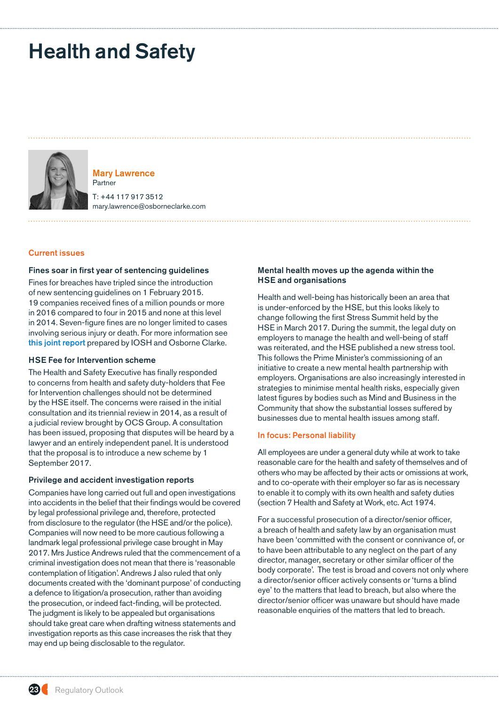# <span id="page-22-0"></span>Health and Safety



Mary Lawrence Partner

T: +44 117 917 3512 mary.lawrence@osborneclarke.com

## Current issues

## Fines soar in first year of sentencing guidelines

Fines for breaches have tripled since the introduction of new sentencing guidelines on 1 February 2015. 19 companies received fines of a million pounds or more in 2016 compared to four in 2015 and none at this level in 2014. Seven-figure fines are no longer limited to cases involving serious injury or death. For more information see [this joint report](http://www.osborneclarke.com/wp-content/uploads/2017/01/Sentencing-Guidelines-Report.pdf) prepared by IOSH and Osborne Clarke.

#### HSE Fee for Intervention scheme

The Health and Safety Executive has finally responded to concerns from health and safety duty-holders that Fee for Intervention challenges should not be determined by the HSE itself. The concerns were raised in the initial consultation and its triennial review in 2014, as a result of a judicial review brought by OCS Group. A consultation has been issued, proposing that disputes will be heard by a lawyer and an entirely independent panel. It is understood that the proposal is to introduce a new scheme by 1 September 2017.

#### Privilege and accident investigation reports

Companies have long carried out full and open investigations into accidents in the belief that their findings would be covered by legal professional privilege and, therefore, protected from disclosure to the regulator (the HSE and/or the police). Companies will now need to be more cautious following a landmark legal professional privilege case brought in May 2017. Mrs Justice Andrews ruled that the commencement of a criminal investigation does not mean that there is 'reasonable contemplation of litigation'. Andrews J also ruled that only documents created with the 'dominant purpose' of conducting a defence to litigation/a prosecution, rather than avoiding the prosecution, or indeed fact-finding, will be protected. The judgment is likely to be appealed but organisations should take great care when drafting witness statements and investigation reports as this case increases the risk that they may end up being disclosable to the regulator.

## Mental health moves up the agenda within the HSE and organisations

Health and well-being has historically been an area that is under-enforced by the HSE, but this looks likely to change following the first Stress Summit held by the HSE in March 2017. During the summit, the legal duty on employers to manage the health and well-being of staff was reiterated, and the HSE published a new stress tool. This follows the Prime Minister's commissioning of an initiative to create a new mental health partnership with employers. Organisations are also increasingly interested in strategies to minimise mental health risks, especially given latest figures by bodies such as Mind and Business in the Community that show the substantial losses suffered by businesses due to mental health issues among staff.

#### In focus: Personal liability

All employees are under a general duty while at work to take reasonable care for the health and safety of themselves and of others who may be affected by their acts or omissions at work, and to co-operate with their employer so far as is necessary to enable it to comply with its own health and safety duties (section 7 Health and Safety at Work, etc. Act 1974.

For a successful prosecution of a director/senior officer, a breach of health and safety law by an organisation must have been 'committed with the consent or connivance of, or to have been attributable to any neglect on the part of any director, manager, secretary or other similar officer of the body corporate'. The test is broad and covers not only where a director/senior officer actively consents or 'turns a blind eye' to the matters that lead to breach, but also where the director/senior officer was unaware but should have made reasonable enquiries of the matters that led to breach.

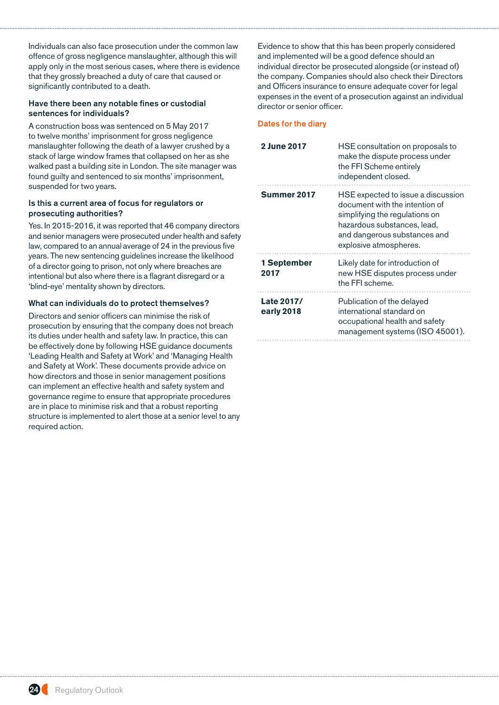Individuals can also face prosecution under the common law offence of gross negligence manslaughter, although this will apply only in the most serious cases, where there is evidence that they grossly breached a duty of care that caused or significantly contributed to a death.

## Have there been any notable fines or custodial sentences for individuals?

A construction boss was sentenced on 5 May 2017 to twelve months' imprisonment for gross negligence manslaughter following the death of a lawyer crushed by a stack of large window frames that collapsed on her as she walked past a building site in London. The site manager was found guilty and sentenced to six months' imprisonment, suspended for two years.

# Is this a current area of focus for regulators or prosecuting authorities?

Yes. In 2015-2016, it was reported that 46 company directors and senior managers were prosecuted under health and safety law, compared to an annual average of 24 in the previous five years. The new sentencing guidelines increase the likelihood of a director going to prison, not only where breaches are intentional but also where there is a flagrant disregard or a 'blind-eye' mentality shown by directors.

# What can individuals do to protect themselves?

Directors and senior officers can minimise the risk of prosecution by ensuring that the company does not breach its duties under health and safety law. In practice, this can be effectively done by following HSE guidance documents 'Leading Health and Safety at Work' and 'Managing Health and Safety at Work'. These documents provide advice on how directors and those in senior management positions can implement an effective health and safety system and governance regime to ensure that appropriate procedures are in place to minimise risk and that a robust reporting structure is implemented to alert those at a senior level to any required action.

Evidence to show that this has been properly considered and implemented will be a good defence should an individual director be prosecuted alongside (or instead of) the company. Companies should also check their Directors and Officers insurance to ensure adequate cover for legal expenses in the event of a prosecution against an individual director or senior officer.

| 2 June 2017              | HSE consultation on proposals to<br>make the dispute process under<br>the FFI Scheme entirely<br>independent closed.                                                                            |
|--------------------------|-------------------------------------------------------------------------------------------------------------------------------------------------------------------------------------------------|
| Summer 2017              | HSE expected to issue a discussion<br>document with the intention of<br>simplifying the regulations on<br>hazardous substances, lead,<br>and dangerous substances and<br>explosive atmospheres. |
| 1 September<br>2017      | Likely date for introduction of<br>new HSE disputes process under<br>the FFI scheme.                                                                                                            |
| Late 2017/<br>early 2018 | Publication of the delayed<br>international standard on<br>occupational health and safety<br>management systems (ISO 45001).                                                                    |

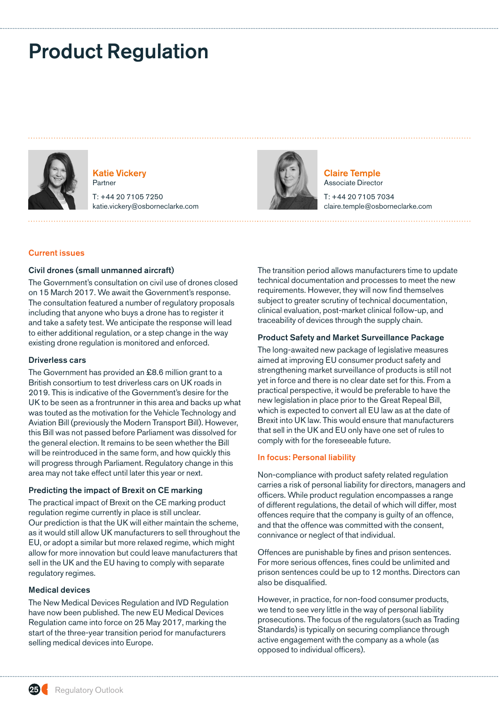# <span id="page-24-0"></span>Product Regulation



Katie Vickery Partner

T: +44 20 7105 7250 katie.vickery@osborneclarke.com



Claire Temple Associate Director

T: +44 20 7105 7034 claire.temple@osborneclarke.com

## Current issues

## Civil drones (small unmanned aircraft)

The Government's consultation on civil use of drones closed on 15 March 2017. We await the Government's response. The consultation featured a number of regulatory proposals including that anyone who buys a drone has to register it and take a safety test. We anticipate the response will lead to either additional regulation, or a step change in the way existing drone regulation is monitored and enforced.

#### Driverless cars

The Government has provided an £8.6 million grant to a British consortium to test driverless cars on UK roads in 2019. This is indicative of the Government's desire for the UK to be seen as a frontrunner in this area and backs up what was touted as the motivation for the Vehicle Technology and Aviation Bill (previously the Modern Transport Bill). However, this Bill was not passed before Parliament was dissolved for the general election. It remains to be seen whether the Bill will be reintroduced in the same form, and how quickly this will progress through Parliament. Regulatory change in this area may not take effect until later this year or next.

## Predicting the impact of Brexit on CE marking

The practical impact of Brexit on the CE marking product regulation regime currently in place is still unclear. Our prediction is that the UK will either maintain the scheme, as it would still allow UK manufacturers to sell throughout the EU, or adopt a similar but more relaxed regime, which might allow for more innovation but could leave manufacturers that sell in the UK and the EU having to comply with separate regulatory regimes.

## Medical devices

The New Medical Devices Regulation and IVD Regulation have now been published. The new EU Medical Devices Regulation came into force on 25 May 2017, marking the start of the three-year transition period for manufacturers selling medical devices into Europe.

The transition period allows manufacturers time to update technical documentation and processes to meet the new requirements. However, they will now find themselves subject to greater scrutiny of technical documentation, clinical evaluation, post-market clinical follow-up, and traceability of devices through the supply chain.

## Product Safety and Market Surveillance Package

The long-awaited new package of legislative measures aimed at improving EU consumer product safety and strengthening market surveillance of products is still not yet in force and there is no clear date set for this. From a practical perspective, it would be preferable to have the new legislation in place prior to the Great Repeal Bill, which is expected to convert all EU law as at the date of Brexit into UK law. This would ensure that manufacturers that sell in the UK and EU only have one set of rules to comply with for the foreseeable future.

#### In focus: Personal liability

Non-compliance with product safety related regulation carries a risk of personal liability for directors, managers and officers. While product regulation encompasses a range of different regulations, the detail of which will differ, most offences require that the company is guilty of an offence, and that the offence was committed with the consent, connivance or neglect of that individual.

Offences are punishable by fines and prison sentences. For more serious offences, fines could be unlimited and prison sentences could be up to 12 months. Directors can also be disqualified.

However, in practice, for non-food consumer products, we tend to see very little in the way of personal liability prosecutions. The focus of the regulators (such as Trading Standards) is typically on securing compliance through active engagement with the company as a whole (as opposed to individual officers).

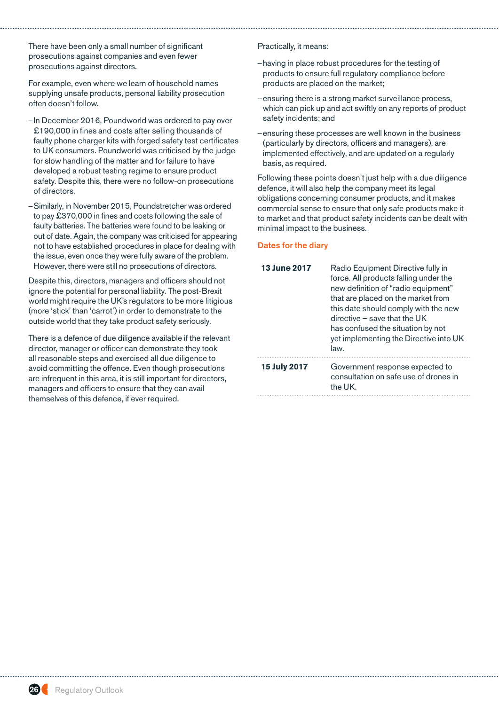There have been only a small number of significant prosecutions against companies and even fewer prosecutions against directors.

For example, even where we learn of household names supplying unsafe products, personal liability prosecution often doesn't follow.

- –In December 2016, Poundworld was ordered to pay over £190,000 in fines and costs after selling thousands of faulty phone charger kits with forged safety test certificates to UK consumers. Poundworld was criticised by the judge for slow handling of the matter and for failure to have developed a robust testing regime to ensure product safety. Despite this, there were no follow-on prosecutions of directors.
- –Similarly, in November 2015, Poundstretcher was ordered to pay £370,000 in fines and costs following the sale of faulty batteries. The batteries were found to be leaking or out of date. Again, the company was criticised for appearing not to have established procedures in place for dealing with the issue, even once they were fully aware of the problem. However, there were still no prosecutions of directors.

Despite this, directors, managers and officers should not ignore the potential for personal liability. The post-Brexit world might require the UK's regulators to be more litigious (more 'stick' than 'carrot') in order to demonstrate to the outside world that they take product safety seriously.

There is a defence of due diligence available if the relevant director, manager or officer can demonstrate they took all reasonable steps and exercised all due diligence to avoid committing the offence. Even though prosecutions are infrequent in this area, it is still important for directors, managers and officers to ensure that they can avail themselves of this defence, if ever required.

Practically, it means:

- –having in place robust procedures for the testing of products to ensure full regulatory compliance before products are placed on the market;
- –ensuring there is a strong market surveillance process, which can pick up and act swiftly on any reports of product safety incidents; and
- –ensuring these processes are well known in the business (particularly by directors, officers and managers), are implemented effectively, and are updated on a regularly basis, as required.

Following these points doesn't just help with a due diligence defence, it will also help the company meet its legal obligations concerning consumer products, and it makes commercial sense to ensure that only safe products make it to market and that product safety incidents can be dealt with minimal impact to the business.

| <b>13 June 2017</b> | Radio Equipment Directive fully in<br>force. All products falling under the<br>new definition of "radio equipment"<br>that are placed on the market from<br>this date should comply with the new<br>directive - save that the UK<br>has confused the situation by not<br>yet implementing the Directive into UK<br>law. |
|---------------------|-------------------------------------------------------------------------------------------------------------------------------------------------------------------------------------------------------------------------------------------------------------------------------------------------------------------------|
| <b>15 July 2017</b> | Government response expected to<br>consultation on safe use of drones in<br>the UK.                                                                                                                                                                                                                                     |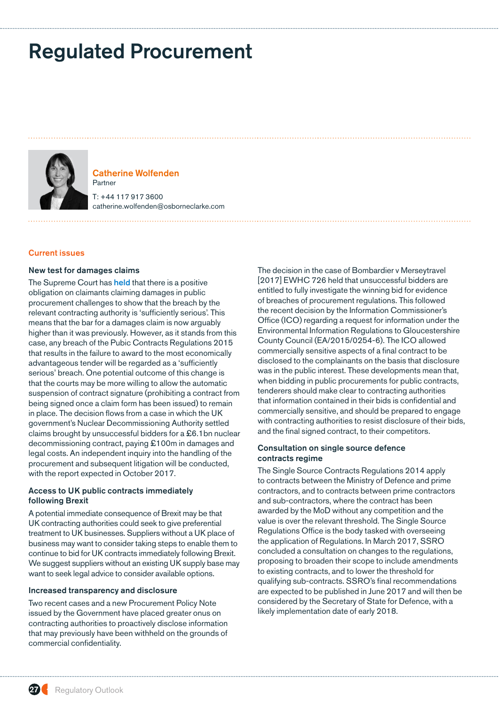# <span id="page-26-0"></span>Regulated Procurement



# Catherine Wolfenden Partner T: +44 117 917 3600

catherine.wolfenden@osborneclarke.com

## Current issues

#### New test for damages claims

The Supreme Court has [held](http://www.bailii.org/uk/cases/UKSC/2017/34.html) that there is a positive obligation on claimants claiming damages in public procurement challenges to show that the breach by the relevant contracting authority is 'sufficiently serious'. This means that the bar for a damages claim is now arguably higher than it was previously. However, as it stands from this case, any breach of the Pubic Contracts Regulations 2015 that results in the failure to award to the most economically advantageous tender will be regarded as a 'sufficiently serious' breach. One potential outcome of this change is that the courts may be more willing to allow the automatic suspension of contract signature (prohibiting a contract from being signed once a claim form has been issued) to remain in place. The decision flows from a case in which the UK government's Nuclear Decommissioning Authority settled claims brought by unsuccessful bidders for a £6.1bn nuclear decommissioning contract, paying £100m in damages and legal costs. An independent inquiry into the handling of the procurement and subsequent litigation will be conducted, with the report expected in October 2017.

## Access to UK public contracts immediately following Brexit

A potential immediate consequence of Brexit may be that UK contracting authorities could seek to give preferential treatment to UK businesses. Suppliers without a UK place of business may want to consider taking steps to enable them to continue to bid for UK contracts immediately following Brexit. We suggest suppliers without an existing UK supply base may want to seek legal advice to consider available options.

## Increased transparency and disclosure

Two recent cases and a new Procurement Policy Note issued by the Government have placed greater onus on contracting authorities to proactively disclose information that may previously have been withheld on the grounds of commercial confidentiality.

The decision in the case of Bombardier v Merseytravel [2017] EWHC 726 held that unsuccessful bidders are entitled to fully investigate the winning bid for evidence of breaches of procurement regulations. This followed the recent decision by the Information Commissioner's Office (ICO) regarding a request for information under the Environmental Information Regulations to Gloucestershire County Council (EA/2015/0254-6). The ICO allowed commercially sensitive aspects of a final contract to be disclosed to the complainants on the basis that disclosure was in the public interest. These developments mean that, when bidding in public procurements for public contracts, tenderers should make clear to contracting authorities that information contained in their bids is confidential and commercially sensitive, and should be prepared to engage with contracting authorities to resist disclosure of their bids, and the final signed contract, to their competitors.

## Consultation on single source defence contracts regime

The Single Source Contracts Regulations 2014 apply to contracts between the Ministry of Defence and prime contractors, and to contracts between prime contractors and sub-contractors, where the contract has been awarded by the MoD without any competition and the value is over the relevant threshold. The Single Source Regulations Office is the body tasked with overseeing the application of Regulations. In March 2017, SSRO concluded a consultation on changes to the regulations, proposing to broaden their scope to include amendments to existing contracts, and to lower the threshold for qualifying sub-contracts. SSRO's final recommendations are expected to be published in June 2017 and will then be considered by the Secretary of State for Defence, with a likely implementation date of early 2018.

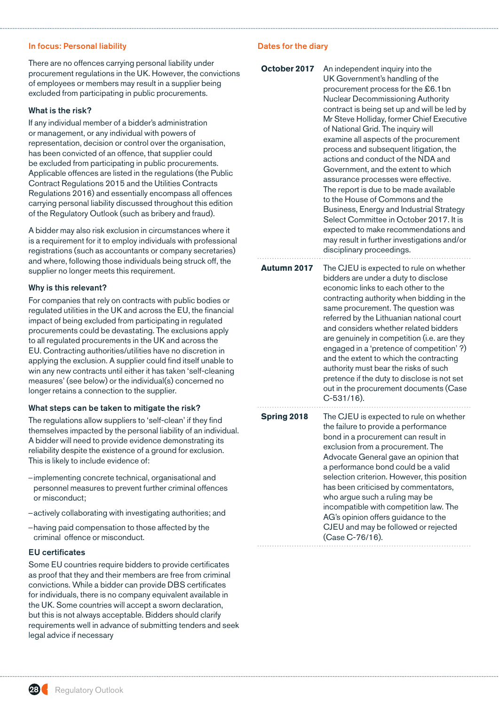## In focus: Personal liability

There are no offences carrying personal liability under procurement regulations in the UK. However, the convictions of employees or members may result in a supplier being excluded from participating in public procurements.

## What is the risk?

If any individual member of a bidder's administration or management, or any individual with powers of representation, decision or control over the organisation, has been convicted of an offence, that supplier could be excluded from participating in public procurements. Applicable offences are listed in the regulations (the Public Contract Regulations 2015 and the Utilities Contracts Regulations 2016) and essentially encompass all offences carrying personal liability discussed throughout this edition of the Regulatory Outlook (such as [bribery and fraud\)](#page-5-0).

A bidder may also risk exclusion in circumstances where it is a requirement for it to employ individuals with professional registrations (such as accountants or company secretaries) and where, following those individuals being struck off, the supplier no longer meets this requirement.

## Why is this relevant?

For companies that rely on contracts with public bodies or regulated utilities in the UK and across the EU, the financial impact of being excluded from participating in regulated procurements could be devastating. The exclusions apply to all regulated procurements in the UK and across the EU. Contracting authorities/utilities have no discretion in applying the exclusion. A supplier could find itself unable to win any new contracts until either it has taken 'self-cleaning measures' (see below) or the individual(s) concerned no longer retains a connection to the supplier.

## What steps can be taken to mitigate the risk?

The regulations allow suppliers to 'self-clean' if they find themselves impacted by the personal liability of an individual. A bidder will need to provide evidence demonstrating its reliability despite the existence of a ground for exclusion. This is likely to include evidence of:

- –implementing concrete technical, organisational and personnel measures to prevent further criminal offences or misconduct;
- –actively collaborating with investigating authorities; and
- –having paid compensation to those affected by the criminal offence or misconduct.

## EU certificates

Some EU countries require bidders to provide certificates as proof that they and their members are free from criminal convictions. While a bidder can provide DBS certificates for individuals, there is no company equivalent available in the UK. Some countries will accept a sworn declaration, but this is not always acceptable. Bidders should clarify requirements well in advance of submitting tenders and seek legal advice if necessary

| October 2017 | An independent inquiry into the<br>UK Government's handling of the<br>procurement process for the £6.1bn<br><b>Nuclear Decommissioning Authority</b><br>contract is being set up and will be led by<br>Mr Steve Holliday, former Chief Executive<br>of National Grid. The inquiry will<br>examine all aspects of the procurement<br>process and subsequent litigation, the<br>actions and conduct of the NDA and<br>Government, and the extent to which<br>assurance processes were effective.<br>The report is due to be made available<br>to the House of Commons and the<br>Business, Energy and Industrial Strategy<br>Select Committee in October 2017. It is<br>expected to make recommendations and<br>may result in further investigations and/or<br>disciplinary proceedings. |
|--------------|----------------------------------------------------------------------------------------------------------------------------------------------------------------------------------------------------------------------------------------------------------------------------------------------------------------------------------------------------------------------------------------------------------------------------------------------------------------------------------------------------------------------------------------------------------------------------------------------------------------------------------------------------------------------------------------------------------------------------------------------------------------------------------------|
| Autumn 2017  | The CJEU is expected to rule on whether<br>bidders are under a duty to disclose<br>economic links to each other to the<br>contracting authority when bidding in the<br>same procurement. The question was<br>referred by the Lithuanian national court<br>and considers whether related bidders<br>are genuinely in competition (i.e. are they<br>engaged in a 'pretence of competition' ?)<br>and the extent to which the contracting<br>authority must bear the risks of such<br>pretence if the duty to disclose is not set<br>out in the procurement documents (Case<br>$C-531/16$ ).                                                                                                                                                                                              |
| Spring 2018  | The CJEU is expected to rule on whether<br>the failure to provide a performance<br>bond in a procurement can result in<br>exclusion from a procurement. The<br>Advocate General gave an opinion that<br>a performance bond could be a valid<br>selection criterion. However, this position<br>has been criticised by commentators,<br>who argue such a ruling may be<br>incompatible with competition law. The<br>AG's opinion offers guidance to the<br>CJEU and may be followed or rejected<br>(Case C-76/16).                                                                                                                                                                                                                                                                       |